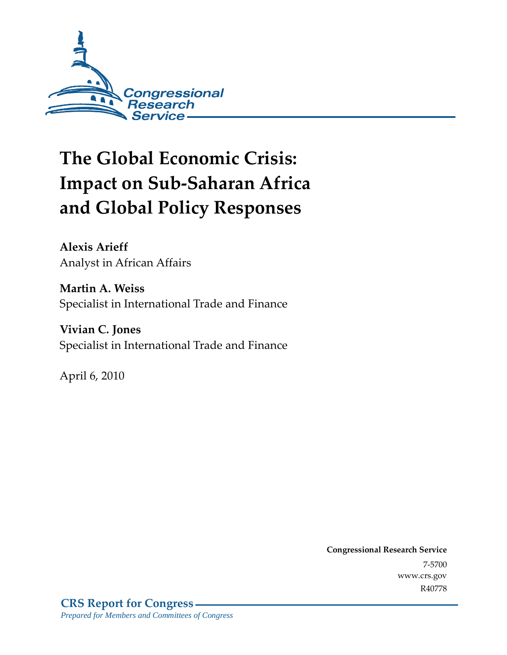

# **The Global Economic Crisis: Impact on Sub-Saharan Africa and Global Policy Responses**

**Alexis Arieff**  Analyst in African Affairs

**Martin A. Weiss**  Specialist in International Trade and Finance

**Vivian C. Jones**  Specialist in International Trade and Finance

April 6, 2010

**Congressional Research Service** 7-5700 www.crs.gov R40778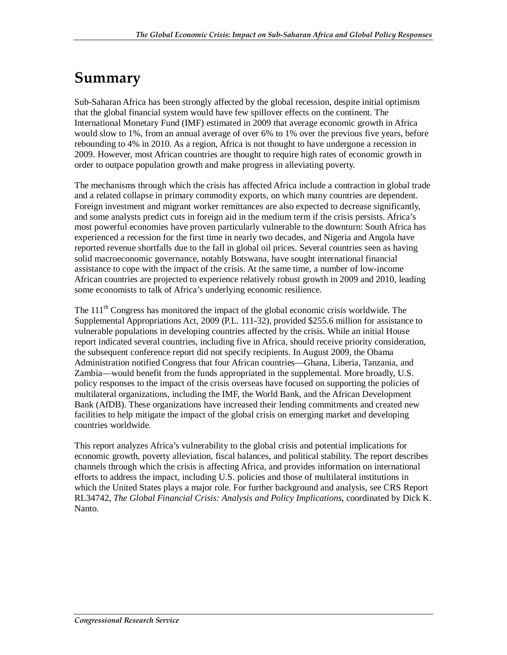## **Summary**

Sub-Saharan Africa has been strongly affected by the global recession, despite initial optimism that the global financial system would have few spillover effects on the continent. The International Monetary Fund (IMF) estimated in 2009 that average economic growth in Africa would slow to 1%, from an annual average of over 6% to 1% over the previous five years, before rebounding to 4% in 2010. As a region, Africa is not thought to have undergone a recession in 2009. However, most African countries are thought to require high rates of economic growth in order to outpace population growth and make progress in alleviating poverty.

The mechanisms through which the crisis has affected Africa include a contraction in global trade and a related collapse in primary commodity exports, on which many countries are dependent. Foreign investment and migrant worker remittances are also expected to decrease significantly, and some analysts predict cuts in foreign aid in the medium term if the crisis persists. Africa's most powerful economies have proven particularly vulnerable to the downturn: South Africa has experienced a recession for the first time in nearly two decades, and Nigeria and Angola have reported revenue shortfalls due to the fall in global oil prices. Several countries seen as having solid macroeconomic governance, notably Botswana, have sought international financial assistance to cope with the impact of the crisis. At the same time, a number of low-income African countries are projected to experience relatively robust growth in 2009 and 2010, leading some economists to talk of Africa's underlying economic resilience.

The  $111<sup>th</sup>$  Congress has monitored the impact of the global economic crisis worldwide. The Supplemental Appropriations Act, 2009 (P.L. 111-32), provided \$255.6 million for assistance to vulnerable populations in developing countries affected by the crisis. While an initial House report indicated several countries, including five in Africa, should receive priority consideration, the subsequent conference report did not specify recipients. In August 2009, the Obama Administration notified Congress that four African countries—Ghana, Liberia, Tanzania, and Zambia—would benefit from the funds appropriated in the supplemental. More broadly, U.S. policy responses to the impact of the crisis overseas have focused on supporting the policies of multilateral organizations, including the IMF, the World Bank, and the African Development Bank (AfDB). These organizations have increased their lending commitments and created new facilities to help mitigate the impact of the global crisis on emerging market and developing countries worldwide.

This report analyzes Africa's vulnerability to the global crisis and potential implications for economic growth, poverty alleviation, fiscal balances, and political stability. The report describes channels through which the crisis is affecting Africa, and provides information on international efforts to address the impact, including U.S. policies and those of multilateral institutions in which the United States plays a major role. For further background and analysis, see CRS Report RL34742, *The Global Financial Crisis: Analysis and Policy Implications*, coordinated by Dick K. Nanto.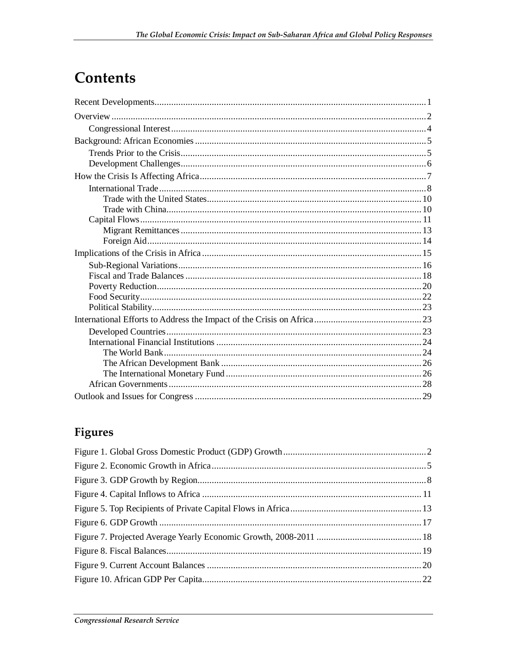## Contents

## **Figures**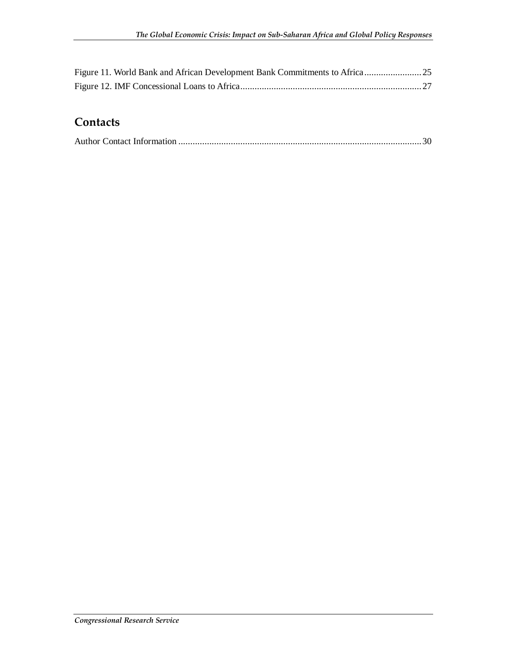### **Contacts**

|--|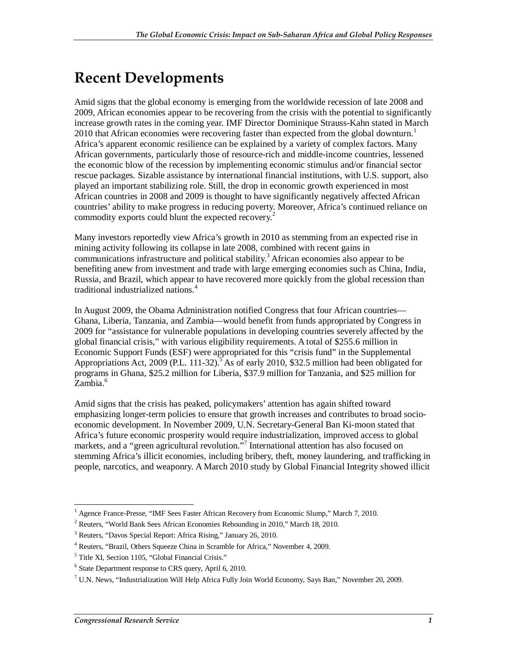## **Recent Developments**

Amid signs that the global economy is emerging from the worldwide recession of late 2008 and 2009, African economies appear to be recovering from the crisis with the potential to significantly increase growth rates in the coming year. IMF Director Dominique Strauss-Kahn stated in March 2010 that African economies were recovering faster than expected from the global downturn.<sup>1</sup> Africa's apparent economic resilience can be explained by a variety of complex factors. Many African governments, particularly those of resource-rich and middle-income countries, lessened the economic blow of the recession by implementing economic stimulus and/or financial sector rescue packages. Sizable assistance by international financial institutions, with U.S. support, also played an important stabilizing role. Still, the drop in economic growth experienced in most African countries in 2008 and 2009 is thought to have significantly negatively affected African countries' ability to make progress in reducing poverty. Moreover, Africa's continued reliance on commodity exports could blunt the expected recovery.<sup>2</sup>

Many investors reportedly view Africa's growth in 2010 as stemming from an expected rise in mining activity following its collapse in late 2008, combined with recent gains in communications infrastructure and political stability.<sup>3</sup> African economies also appear to be benefiting anew from investment and trade with large emerging economies such as China, India, Russia, and Brazil, which appear to have recovered more quickly from the global recession than traditional industrialized nations.<sup>4</sup>

In August 2009, the Obama Administration notified Congress that four African countries— Ghana, Liberia, Tanzania, and Zambia—would benefit from funds appropriated by Congress in 2009 for "assistance for vulnerable populations in developing countries severely affected by the global financial crisis," with various eligibility requirements. A total of \$255.6 million in Economic Support Funds (ESF) were appropriated for this "crisis fund" in the Supplemental Appropriations Act, 2009 (P.L. 111-32).<sup>5</sup> As of early 2010, \$32.5 million had been obligated for programs in Ghana, \$25.2 million for Liberia, \$37.9 million for Tanzania, and \$25 million for Zambia.<sup>6</sup>

Amid signs that the crisis has peaked, policymakers' attention has again shifted toward emphasizing longer-term policies to ensure that growth increases and contributes to broad socioeconomic development. In November 2009, U.N. Secretary-General Ban Ki-moon stated that Africa's future economic prosperity would require industrialization, improved access to global markets, and a "green agricultural revolution."<sup>7</sup> International attention has also focused on stemming Africa's illicit economies, including bribery, theft, money laundering, and trafficking in people, narcotics, and weaponry. A March 2010 study by Global Financial Integrity showed illicit

 1 Agence France-Presse, "IMF Sees Faster African Recovery from Economic Slump," March 7, 2010.

<sup>&</sup>lt;sup>2</sup> Reuters, "World Bank Sees African Economies Rebounding in 2010," March 18, 2010.

<sup>&</sup>lt;sup>3</sup> Reuters, "Davos Special Report: Africa Rising," January 26, 2010.

<sup>4</sup> Reuters, "Brazil, Others Squeeze China in Scramble for Africa," November 4, 2009.

<sup>5</sup> Title XI, Section 1105, "Global Financial Crisis."

<sup>&</sup>lt;sup>6</sup> State Department response to CRS query, April 6, 2010.

 $^7$  U.N. News, "Industrialization Will Help Africa Fully Join World Economy, Says Ban," November 20, 2009.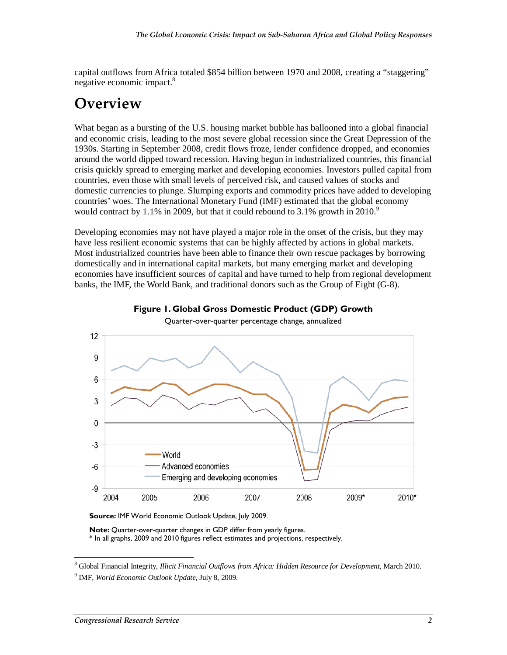capital outflows from Africa totaled \$854 billion between 1970 and 2008, creating a "staggering" negative economic impact.<sup>8</sup>

## **Overview**

What began as a bursting of the U.S. housing market bubble has ballooned into a global financial and economic crisis, leading to the most severe global recession since the Great Depression of the 1930s. Starting in September 2008, credit flows froze, lender confidence dropped, and economies around the world dipped toward recession. Having begun in industrialized countries, this financial crisis quickly spread to emerging market and developing economies. Investors pulled capital from countries, even those with small levels of perceived risk, and caused values of stocks and domestic currencies to plunge. Slumping exports and commodity prices have added to developing countries' woes. The International Monetary Fund (IMF) estimated that the global economy would contract by 1.1% in 2009, but that it could rebound to 3.1% growth in 2010.<sup>9</sup>

Developing economies may not have played a major role in the onset of the crisis, but they may have less resilient economic systems that can be highly affected by actions in global markets. Most industrialized countries have been able to finance their own rescue packages by borrowing domestically and in international capital markets, but many emerging market and developing economies have insufficient sources of capital and have turned to help from regional development banks, the IMF, the World Bank, and traditional donors such as the Group of Eight (G-8).



**Figure 1. Global Gross Domestic Product (GDP) Growth** 

Source: IMF World Economic Outlook Update, July 2009.

**Note:** Quarter-over-quarter changes in GDP differ from yearly figures. \* In all graphs, 2009 and 2010 figures reflect estimates and projections, respectively.

 8 Global Financial Integrity, *Illicit Financial Outflows from Africa: Hidden Resource for Development*, March 2010. 9 IMF, *World Economic Outlook Update*, July 8, 2009.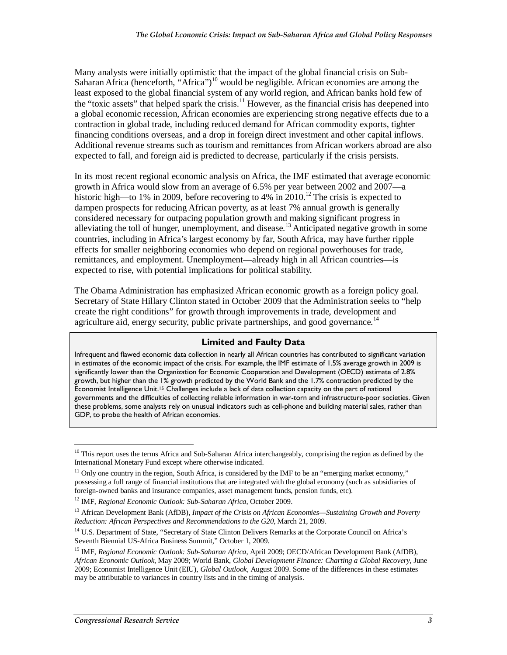Many analysts were initially optimistic that the impact of the global financial crisis on Sub-Saharan Africa (henceforth, "Africa")<sup>10</sup> would be negligible. African economies are among the least exposed to the global financial system of any world region, and African banks hold few of the "toxic assets" that helped spark the crisis.<sup>11</sup> However, as the financial crisis has deepened into a global economic recession, African economies are experiencing strong negative effects due to a contraction in global trade, including reduced demand for African commodity exports, tighter financing conditions overseas, and a drop in foreign direct investment and other capital inflows. Additional revenue streams such as tourism and remittances from African workers abroad are also expected to fall, and foreign aid is predicted to decrease, particularly if the crisis persists.

In its most recent regional economic analysis on Africa, the IMF estimated that average economic growth in Africa would slow from an average of 6.5% per year between 2002 and 2007—a historic high—to 1% in 2009, before recovering to 4% in 2010.<sup>12</sup> The crisis is expected to dampen prospects for reducing African poverty, as at least 7% annual growth is generally considered necessary for outpacing population growth and making significant progress in alleviating the toll of hunger, unemployment, and disease.<sup>13</sup> Anticipated negative growth in some countries, including in Africa's largest economy by far, South Africa, may have further ripple effects for smaller neighboring economies who depend on regional powerhouses for trade, remittances, and employment. Unemployment—already high in all African countries—is expected to rise, with potential implications for political stability.

The Obama Administration has emphasized African economic growth as a foreign policy goal. Secretary of State Hillary Clinton stated in October 2009 that the Administration seeks to "help create the right conditions" for growth through improvements in trade, development and agriculture aid, energy security, public private partnerships, and good governance.<sup>14</sup>

#### **Limited and Faulty Data**

Infrequent and flawed economic data collection in nearly all African countries has contributed to significant variation in estimates of the economic impact of the crisis. For example, the IMF estimate of 1.5% average growth in 2009 is significantly lower than the Organization for Economic Cooperation and Development (OECD) estimate of 2.8% growth, but higher than the 1% growth predicted by the World Bank and the 1.7% contraction predicted by the Economist Intelligence Unit.15 Challenges include a lack of data collection capacity on the part of national governments and the difficulties of collecting reliable information in war-torn and infrastructure-poor societies. Given these problems, some analysts rely on unusual indicators such as cell-phone and building material sales, rather than GDP, to probe the health of African economies.

<sup>-</sup><sup>10</sup> This report uses the terms Africa and Sub-Saharan Africa interchangeably, comprising the region as defined by the International Monetary Fund except where otherwise indicated.

<sup>&</sup>lt;sup>11</sup> Only one country in the region, South Africa, is considered by the IMF to be an "emerging market economy," possessing a full range of financial institutions that are integrated with the global economy (such as subsidiaries of foreign-owned banks and insurance companies, asset management funds, pension funds, etc).

<sup>12</sup> IMF, *Regional Economic Outlook: Sub-Saharan Africa*, October 2009.

<sup>13</sup> African Development Bank (AfDB), *Impact of the Crisis on African Economies—Sustaining Growth and Poverty Reduction: African Perspectives and Recommendations to the G20*, March 21, 2009.

<sup>&</sup>lt;sup>14</sup> U.S. Department of State, "Secretary of State Clinton Delivers Remarks at the Corporate Council on Africa's Seventh Biennial US-Africa Business Summit," October 1, 2009.

<sup>15</sup> IMF, *Regional Economic Outlook: Sub-Saharan Africa*, April 2009; OECD/African Development Bank (AfDB), *African Economic Outlook*, May 2009; World Bank, *Global Development Finance: Charting a Global Recovery*, June 2009; Economist Intelligence Unit (EIU), *Global Outlook*, August 2009. Some of the differences in these estimates may be attributable to variances in country lists and in the timing of analysis.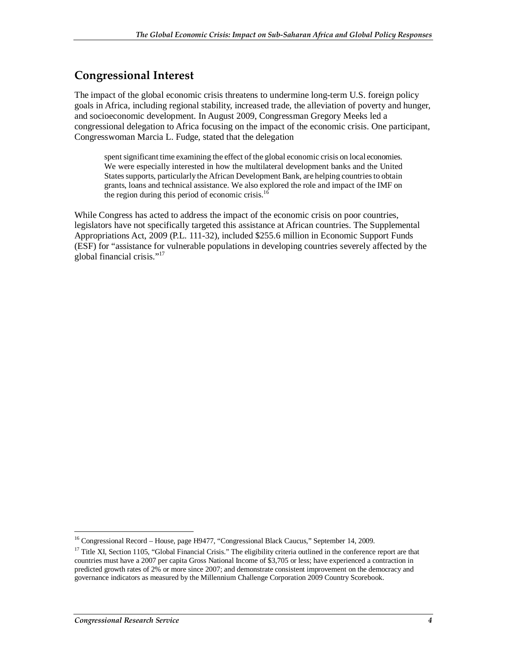### **Congressional Interest**

The impact of the global economic crisis threatens to undermine long-term U.S. foreign policy goals in Africa, including regional stability, increased trade, the alleviation of poverty and hunger, and socioeconomic development. In August 2009, Congressman Gregory Meeks led a congressional delegation to Africa focusing on the impact of the economic crisis. One participant, Congresswoman Marcia L. Fudge, stated that the delegation

spent significant time examining the effect of the global economic crisis on local economies. We were especially interested in how the multilateral development banks and the United States supports, particularly the African Development Bank, are helping countries to obtain grants, loans and technical assistance. We also explored the role and impact of the IMF on the region during this period of economic crisis. $16$ 

While Congress has acted to address the impact of the economic crisis on poor countries, legislators have not specifically targeted this assistance at African countries. The Supplemental Appropriations Act, 2009 (P.L. 111-32), included \$255.6 million in Economic Support Funds (ESF) for "assistance for vulnerable populations in developing countries severely affected by the global financial crisis."<sup>17</sup>

<sup>&</sup>lt;u>.</u> <sup>16</sup> Congressional Record – House, page H9477, "Congressional Black Caucus," September 14, 2009.

<sup>&</sup>lt;sup>17</sup> Title XI, Section 1105, "Global Financial Crisis." The eligibility criteria outlined in the conference report are that countries must have a 2007 per capita Gross National Income of \$3,705 or less; have experienced a contraction in predicted growth rates of 2% or more since 2007; and demonstrate consistent improvement on the democracy and governance indicators as measured by the Millennium Challenge Corporation 2009 Country Scorebook.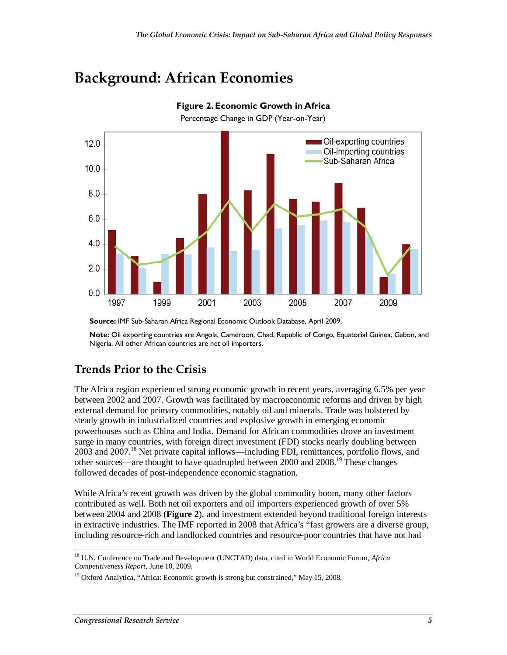## **Background: African Economies**



**Figure 2. Economic Growth in Africa** 

Percentage Change in GDP (Year-on-Year)

**Source:** IMF Sub-Saharan Africa Regional Economic Outlook Database, April 2009.

**Note:** Oil exporting countries are Angola, Cameroon, Chad, Republic of Congo, Equatorial Guinea, Gabon, and Nigeria. All other African countries are net oil importers.

### **Trends Prior to the Crisis**

The Africa region experienced strong economic growth in recent years, averaging 6.5% per year between 2002 and 2007. Growth was facilitated by macroeconomic reforms and driven by high external demand for primary commodities, notably oil and minerals. Trade was bolstered by steady growth in industrialized countries and explosive growth in emerging economic powerhouses such as China and India. Demand for African commodities drove an investment surge in many countries, with foreign direct investment (FDI) stocks nearly doubling between 2003 and 2007.<sup>18</sup> Net private capital inflows—including FDI, remittances, portfolio flows, and other sources—are thought to have quadrupled between 2000 and  $2008$ .<sup>19</sup> These changes followed decades of post-independence economic stagnation.

While Africa's recent growth was driven by the global commodity boom, many other factors contributed as well. Both net oil exporters and oil importers experienced growth of over 5% between 2004 and 2008 (**Figure 2**), and investment extended beyond traditional foreign interests in extractive industries. The IMF reported in 2008 that Africa's "fast growers are a diverse group, including resource-rich and landlocked countries and resource-poor countries that have not had

<sup>-</sup>18 U.N. Conference on Trade and Development (UNCTAD) data, cited in World Economic Forum, *Africa Competitiveness Report*, June 10, 2009.

<sup>&</sup>lt;sup>19</sup> Oxford Analytica, "Africa: Economic growth is strong but constrained," May 15, 2008.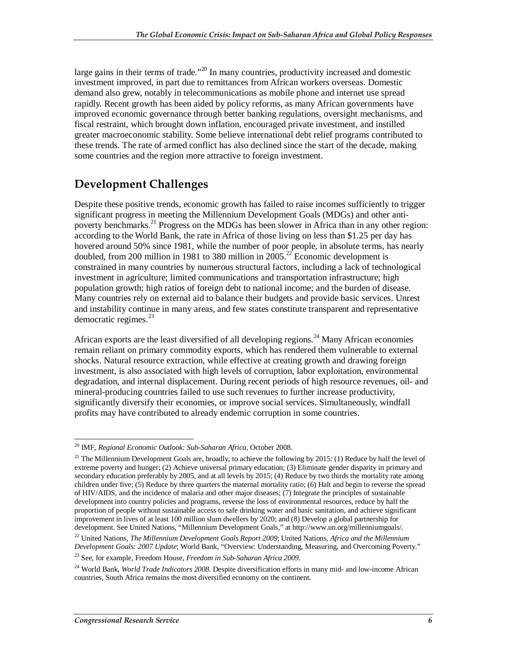large gains in their terms of trade."<sup>20</sup> In many countries, productivity increased and domestic investment improved, in part due to remittances from African workers overseas. Domestic demand also grew, notably in telecommunications as mobile phone and internet use spread rapidly. Recent growth has been aided by policy reforms, as many African governments have improved economic governance through better banking regulations, oversight mechanisms, and fiscal restraint, which brought down inflation, encouraged private investment, and instilled greater macroeconomic stability. Some believe international debt relief programs contributed to these trends. The rate of armed conflict has also declined since the start of the decade, making some countries and the region more attractive to foreign investment.

### **Development Challenges**

Despite these positive trends, economic growth has failed to raise incomes sufficiently to trigger significant progress in meeting the Millennium Development Goals (MDGs) and other antipoverty benchmarks.<sup>21</sup> Progress on the MDGs has been slower in Africa than in any other region: according to the World Bank, the rate in Africa of those living on less than \$1.25 per day has hovered around 50% since 1981, while the number of poor people, in absolute terms, has nearly doubled, from 200 million in 1981 to 380 million in  $2005.<sup>22</sup>$  Economic development is constrained in many countries by numerous structural factors, including a lack of technological investment in agriculture; limited communications and transportation infrastructure; high population growth; high ratios of foreign debt to national income; and the burden of disease. Many countries rely on external aid to balance their budgets and provide basic services. Unrest and instability continue in many areas, and few states constitute transparent and representative democratic regimes. $^{23}$ 

African exports are the least diversified of all developing regions.<sup>24</sup> Many African economies remain reliant on primary commodity exports, which has rendered them vulnerable to external shocks. Natural resource extraction, while effective at creating growth and drawing foreign investment, is also associated with high levels of corruption, labor exploitation, environmental degradation, and internal displacement. During recent periods of high resource revenues, oil- and mineral-producing countries failed to use such revenues to further increase productivity, significantly diversify their economies, or improve social services. Simultaneously, windfall profits may have contributed to already endemic corruption in some countries.

<sup>-</sup>20 IMF, *Regional Economic Outlook: Sub-Saharan Africa*, October 2008.

<sup>&</sup>lt;sup>21</sup> The Millennium Development Goals are, broadly, to achieve the following by 2015: (1) Reduce by half the level of extreme poverty and hunger; (2) Achieve universal primary education; (3) Eliminate gender disparity in primary and secondary education preferably by 2005, and at all levels by 2015; (4) Reduce by two thirds the mortality rate among children under five; (5) Reduce by three quarters the maternal mortality ratio; (6) Halt and begin to reverse the spread of HIV/AIDS, and the incidence of malaria and other major diseases; (7) Integrate the principles of sustainable development into country policies and programs, reverse the loss of environmental resources, reduce by half the proportion of people without sustainable access to safe drinking water and basic sanitation, and achieve significant improvement in lives of at least 100 million slum dwellers by 2020; and (8) Develop a global partnership for development. See United Nations, "Millennium Development Goals," at http://www.un.org/millenniumgoals/.

<sup>22</sup> United Nations, *The Millennium Development Goals Report 2009*; United Nations, *Africa and the Millennium Development Goals: 2007 Update*; World Bank, "Overview: Understanding, Measuring, and Overcoming Poverty."

<sup>23</sup> See, for example, Freedom House, *Freedom in Sub-Saharan Africa 2009*.

<sup>24</sup> World Bank, *World Trade Indicators 2008*. Despite diversification efforts in many mid- and low-income African countries, South Africa remains the most diversified economy on the continent.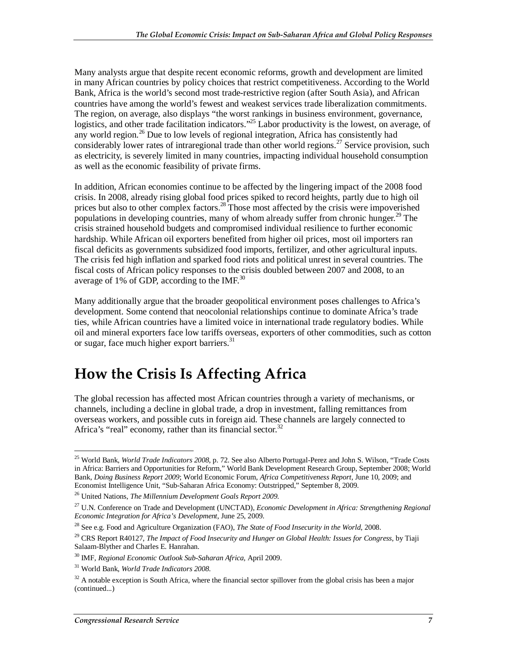Many analysts argue that despite recent economic reforms, growth and development are limited in many African countries by policy choices that restrict competitiveness. According to the World Bank, Africa is the world's second most trade-restrictive region (after South Asia), and African countries have among the world's fewest and weakest services trade liberalization commitments. The region, on average, also displays "the worst rankings in business environment, governance, logistics, and other trade facilitation indicators."<sup>25</sup> Labor productivity is the lowest, on average, of any world region.<sup>26</sup> Due to low levels of regional integration, Africa has consistently had considerably lower rates of intraregional trade than other world regions.<sup>27</sup> Service provision, such as electricity, is severely limited in many countries, impacting individual household consumption as well as the economic feasibility of private firms.

In addition, African economies continue to be affected by the lingering impact of the 2008 food crisis. In 2008, already rising global food prices spiked to record heights, partly due to high oil prices but also to other complex factors.<sup>28</sup> Those most affected by the crisis were impoverished populations in developing countries, many of whom already suffer from chronic hunger.<sup>29</sup> The crisis strained household budgets and compromised individual resilience to further economic hardship. While African oil exporters benefited from higher oil prices, most oil importers ran fiscal deficits as governments subsidized food imports, fertilizer, and other agricultural inputs. The crisis fed high inflation and sparked food riots and political unrest in several countries. The fiscal costs of African policy responses to the crisis doubled between 2007 and 2008, to an average of 1% of GDP, according to the IMF. $^{30}$ 

Many additionally argue that the broader geopolitical environment poses challenges to Africa's development. Some contend that neocolonial relationships continue to dominate Africa's trade ties, while African countries have a limited voice in international trade regulatory bodies. While oil and mineral exporters face low tariffs overseas, exporters of other commodities, such as cotton or sugar, face much higher export barriers.<sup>31</sup>

## **How the Crisis Is Affecting Africa**

The global recession has affected most African countries through a variety of mechanisms, or channels, including a decline in global trade, a drop in investment, falling remittances from overseas workers, and possible cuts in foreign aid. These channels are largely connected to Africa's "real" economy, rather than its financial sector. $32$ 

-

<sup>25</sup> World Bank, *World Trade Indicators 2008*, p. 72. See also Alberto Portugal-Perez and John S. Wilson, "Trade Costs in Africa: Barriers and Opportunities for Reform," World Bank Development Research Group, September 2008; World Bank, *Doing Business Report 2009*; World Economic Forum, *Africa Competitiveness Report*, June 10, 2009; and Economist Intelligence Unit, "Sub-Saharan Africa Economy: Outstripped," September 8, 2009.

<sup>26</sup> United Nations, *The Millennium Development Goals Report 2009*.

<sup>27</sup> U.N. Conference on Trade and Development (UNCTAD), *Economic Development in Africa: Strengthening Regional Economic Integration for Africa's Development*, June 25, 2009.

<sup>28</sup> See e.g. Food and Agriculture Organization (FAO), *The State of Food Insecurity in the World*, 2008.

<sup>29</sup> CRS Report R40127, *The Impact of Food Insecurity and Hunger on Global Health: Issues for Congress*, by Tiaji Salaam-Blyther and Charles E. Hanrahan.

<sup>30</sup> IMF, *Regional Economic Outlook Sub-Saharan Africa*, April 2009.

<sup>31</sup> World Bank, *World Trade Indicators 2008*.

 $32$  A notable exception is South Africa, where the financial sector spillover from the global crisis has been a major (continued...)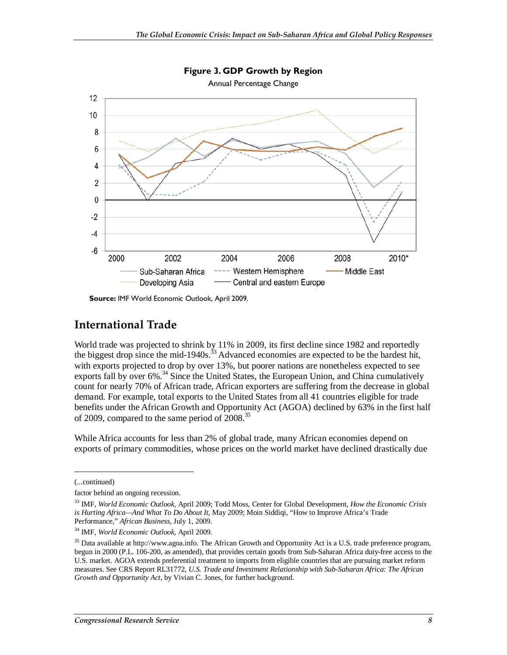

**Figure 3. GDP Growth by Region** 

**Source:** IMF World Economic Outlook, April 2009.

#### **International Trade**

World trade was projected to shrink by 11% in 2009, its first decline since 1982 and reportedly the biggest drop since the mid-1940s.<sup>33</sup> Advanced economies are expected to be the hardest hit, with exports projected to drop by over 13%, but poorer nations are nonetheless expected to see exports fall by over 6%.<sup>34</sup> Since the United States, the European Union, and China cumulatively count for nearly 70% of African trade, African exporters are suffering from the decrease in global demand. For example, total exports to the United States from all 41 countries eligible for trade benefits under the African Growth and Opportunity Act (AGOA) declined by 63% in the first half of 2009, compared to the same period of 2008.<sup>35</sup>

While Africa accounts for less than 2% of global trade, many African economies depend on exports of primary commodities, whose prices on the world market have declined drastically due

<u>.</u>

<sup>(...</sup>continued)

factor behind an ongoing recession.

<sup>33</sup> IMF, *World Economic Outlook*, April 2009; Todd Moss, Center for Global Development, *How the Economic Crisis is Hurting Africa—And What To Do About It*, May 2009; Moin Siddiqi, "How to Improve Africa's Trade Performance," *African Business*, July 1, 2009.

<sup>34</sup> IMF, *World Economic Outlook*, April 2009.

<sup>&</sup>lt;sup>35</sup> Data available at http://www.agoa.info. The African Growth and Opportunity Act is a U.S. trade preference program, begun in 2000 (P.L. 106-200, as amended), that provides certain goods from Sub-Saharan Africa duty-free access to the U.S. market. AGOA extends preferential treatment to imports from eligible countries that are pursuing market reform measures. See CRS Report RL31772, *U.S. Trade and Investment Relationship with Sub-Saharan Africa: The African Growth and Opportunity Act*, by Vivian C. Jones, for further background.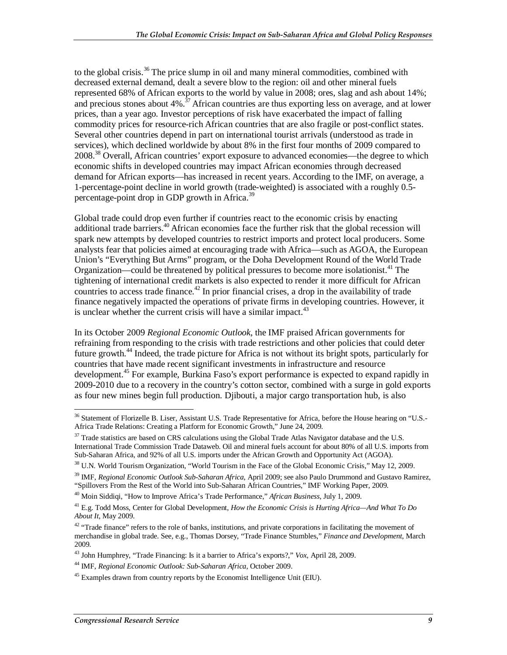to the global crisis.<sup>36</sup> The price slump in oil and many mineral commodities, combined with decreased external demand, dealt a severe blow to the region: oil and other mineral fuels represented 68% of African exports to the world by value in 2008; ores, slag and ash about 14%; and precious stones about  $4\%$ .<sup>37</sup> African countries are thus exporting less on average, and at lower prices, than a year ago. Investor perceptions of risk have exacerbated the impact of falling commodity prices for resource-rich African countries that are also fragile or post-conflict states. Several other countries depend in part on international tourist arrivals (understood as trade in services), which declined worldwide by about 8% in the first four months of 2009 compared to 2008.<sup>38</sup> Overall, African countries' export exposure to advanced economies—the degree to which economic shifts in developed countries may impact African economies through decreased demand for African exports—has increased in recent years. According to the IMF, on average, a 1-percentage-point decline in world growth (trade-weighted) is associated with a roughly 0.5 percentage-point drop in GDP growth in Africa.<sup>39</sup>

Global trade could drop even further if countries react to the economic crisis by enacting additional trade barriers.<sup>40</sup> African economies face the further risk that the global recession will spark new attempts by developed countries to restrict imports and protect local producers. Some analysts fear that policies aimed at encouraging trade with Africa—such as AGOA, the European Union's "Everything But Arms" program, or the Doha Development Round of the World Trade Organization—could be threatened by political pressures to become more isolationist.<sup>41</sup> The tightening of international credit markets is also expected to render it more difficult for African countries to access trade finance.<sup>42</sup> In prior financial crises, a drop in the availability of trade finance negatively impacted the operations of private firms in developing countries. However, it is unclear whether the current crisis will have a similar impact.  $43$ 

In its October 2009 *Regional Economic Outlook*, the IMF praised African governments for refraining from responding to the crisis with trade restrictions and other policies that could deter future growth.<sup>44</sup> Indeed, the trade picture for Africa is not without its bright spots, particularly for countries that have made recent significant investments in infrastructure and resource development.<sup>45</sup> For example, Burkina Faso's export performance is expected to expand rapidly in 2009-2010 due to a recovery in the country's cotton sector, combined with a surge in gold exports as four new mines begin full production. Djibouti, a major cargo transportation hub, is also

<sup>&</sup>lt;u>.</u>  $36$  Statement of Florizelle B. Liser, Assistant U.S. Trade Representative for Africa, before the House hearing on "U.S.-Africa Trade Relations: Creating a Platform for Economic Growth," June 24, 2009.

 $37$  Trade statistics are based on CRS calculations using the Global Trade Atlas Navigator database and the U.S. International Trade Commission Trade Dataweb. Oil and mineral fuels account for about 80% of all U.S. imports from Sub-Saharan Africa, and 92% of all U.S. imports under the African Growth and Opportunity Act (AGOA).

<sup>&</sup>lt;sup>38</sup> U.N. World Tourism Organization, "World Tourism in the Face of the Global Economic Crisis," May 12, 2009.

<sup>39</sup> IMF, *Regional Economic Outlook Sub-Saharan Africa*, April 2009; see also Paulo Drummond and Gustavo Ramirez, "Spillovers From the Rest of the World into Sub-Saharan African Countries," IMF Working Paper, 2009.

<sup>40</sup> Moin Siddiqi, "How to Improve Africa's Trade Performance," *African Business*, July 1, 2009.

<sup>41</sup> E.g. Todd Moss, Center for Global Development, *How the Economic Crisis is Hurting Africa—And What To Do About It*, May 2009.

 $42$  "Trade finance" refers to the role of banks, institutions, and private corporations in facilitating the movement of merchandise in global trade. See, e.g., Thomas Dorsey, "Trade Finance Stumbles," *Finance and Development*, March 2009.

<sup>43</sup> John Humphrey, "Trade Financing: Is it a barrier to Africa's exports?," *Vox*, April 28, 2009.

<sup>44</sup> IMF, *Regional Economic Outlook: Sub-Saharan Africa*, October 2009.

<sup>&</sup>lt;sup>45</sup> Examples drawn from country reports by the Economist Intelligence Unit (EIU).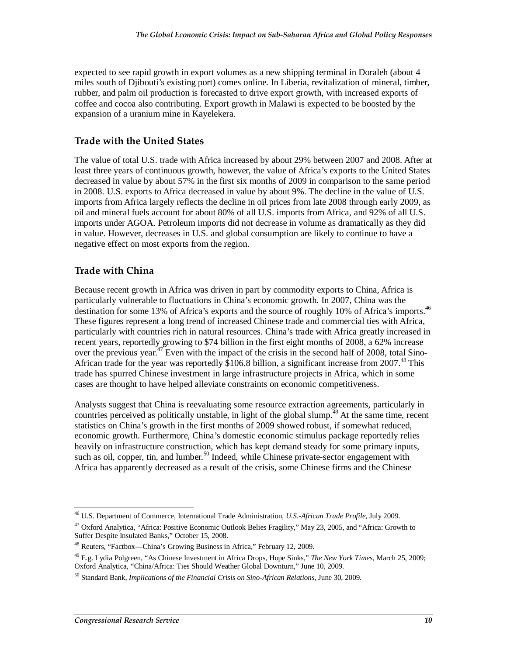expected to see rapid growth in export volumes as a new shipping terminal in Doraleh (about 4 miles south of Djibouti's existing port) comes online. In Liberia, revitalization of mineral, timber, rubber, and palm oil production is forecasted to drive export growth, with increased exports of coffee and cocoa also contributing. Export growth in Malawi is expected to be boosted by the expansion of a uranium mine in Kayelekera.

#### **Trade with the United States**

The value of total U.S. trade with Africa increased by about 29% between 2007 and 2008. After at least three years of continuous growth, however, the value of Africa's exports to the United States decreased in value by about 57% in the first six months of 2009 in comparison to the same period in 2008. U.S. exports to Africa decreased in value by about 9%. The decline in the value of U.S. imports from Africa largely reflects the decline in oil prices from late 2008 through early 2009, as oil and mineral fuels account for about 80% of all U.S. imports from Africa, and 92% of all U.S. imports under AGOA. Petroleum imports did not decrease in volume as dramatically as they did in value. However, decreases in U.S. and global consumption are likely to continue to have a negative effect on most exports from the region.

#### **Trade with China**

Because recent growth in Africa was driven in part by commodity exports to China, Africa is particularly vulnerable to fluctuations in China's economic growth. In 2007, China was the destination for some 13% of Africa's exports and the source of roughly 10% of Africa's imports.<sup>46</sup> These figures represent a long trend of increased Chinese trade and commercial ties with Africa, particularly with countries rich in natural resources. China's trade with Africa greatly increased in recent years, reportedly growing to \$74 billion in the first eight months of 2008, a 62% increase over the previous year.<sup>47</sup> Even with the impact of the crisis in the second half of 2008, total Sino-African trade for the year was reportedly  $$106.8$  billion, a significant increase from 2007.<sup>48</sup> This trade has spurred Chinese investment in large infrastructure projects in Africa, which in some cases are thought to have helped alleviate constraints on economic competitiveness.

Analysts suggest that China is reevaluating some resource extraction agreements, particularly in countries perceived as politically unstable, in light of the global slump.<sup> $49$ </sup> At the same time, recent statistics on China's growth in the first months of 2009 showed robust, if somewhat reduced, economic growth. Furthermore, China's domestic economic stimulus package reportedly relies heavily on infrastructure construction, which has kept demand steady for some primary inputs, such as oil, copper, tin, and lumber.<sup>50</sup> Indeed, while Chinese private-sector engagement with Africa has apparently decreased as a result of the crisis, some Chinese firms and the Chinese

 $\frac{1}{2}$ 46 U.S. Department of Commerce, International Trade Administration, *U.S.-African Trade Profile*, July 2009.

<sup>&</sup>lt;sup>47</sup> Oxford Analytica, "Africa: Positive Economic Outlook Belies Fragility," May 23, 2005, and "Africa: Growth to Suffer Despite Insulated Banks," October 15, 2008.

<sup>48</sup> Reuters, "Factbox—China's Growing Business in Africa," February 12, 2009.

<sup>49</sup> E.g. Lydia Polgreen, "As Chinese Investment in Africa Drops, Hope Sinks," *The New York Times*, March 25, 2009; Oxford Analytica, "China/Africa: Ties Should Weather Global Downturn," June 10, 2009.

<sup>50</sup> Standard Bank, *Implications of the Financial Crisis on Sino-African Relations*, June 30, 2009.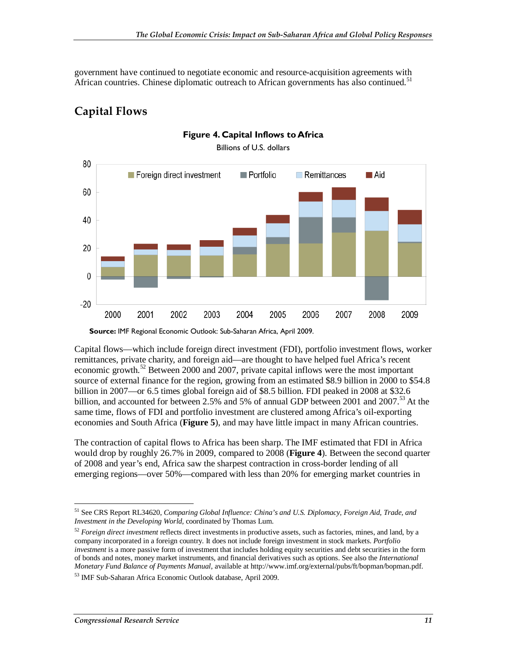government have continued to negotiate economic and resource-acquisition agreements with African countries. Chinese diplomatic outreach to African governments has also continued.<sup>51</sup>

## **Capital Flows**



**Figure 4. Capital Inflows to Africa** 

Billions of U.S. dollars

**Source:** IMF Regional Economic Outlook: Sub-Saharan Africa, April 2009.

Capital flows—which include foreign direct investment (FDI), portfolio investment flows, worker remittances, private charity, and foreign aid—are thought to have helped fuel Africa's recent economic growth.<sup>52</sup> Between 2000 and 2007, private capital inflows were the most important source of external finance for the region, growing from an estimated \$8.9 billion in 2000 to \$54.8 billion in 2007—or 6.5 times global foreign aid of \$8.5 billion. FDI peaked in 2008 at \$32.6 billion, and accounted for between 2.5% and 5% of annual GDP between 2001 and 2007.<sup>53</sup> At the same time, flows of FDI and portfolio investment are clustered among Africa's oil-exporting economies and South Africa (**Figure 5**), and may have little impact in many African countries.

The contraction of capital flows to Africa has been sharp. The IMF estimated that FDI in Africa would drop by roughly 26.7% in 2009, compared to 2008 (**Figure 4**). Between the second quarter of 2008 and year's end, Africa saw the sharpest contraction in cross-border lending of all emerging regions—over 50%—compared with less than 20% for emerging market countries in

<sup>&</sup>lt;u>.</u> 51 See CRS Report RL34620, *Comparing Global Influence: China's and U.S. Diplomacy, Foreign Aid, Trade, and Investment in the Developing World*, coordinated by Thomas Lum.

<sup>52</sup> *Foreign direct investment* reflects direct investments in productive assets, such as factories, mines, and land, by a company incorporated in a foreign country. It does not include foreign investment in stock markets. *Portfolio investment* is a more passive form of investment that includes holding equity securities and debt securities in the form of bonds and notes, money market instruments, and financial derivatives such as options. See also the *International Monetary Fund Balance of Payments Manual*, available at http://www.imf.org/external/pubs/ft/bopman/bopman.pdf.

<sup>53</sup> IMF Sub-Saharan Africa Economic Outlook database, April 2009.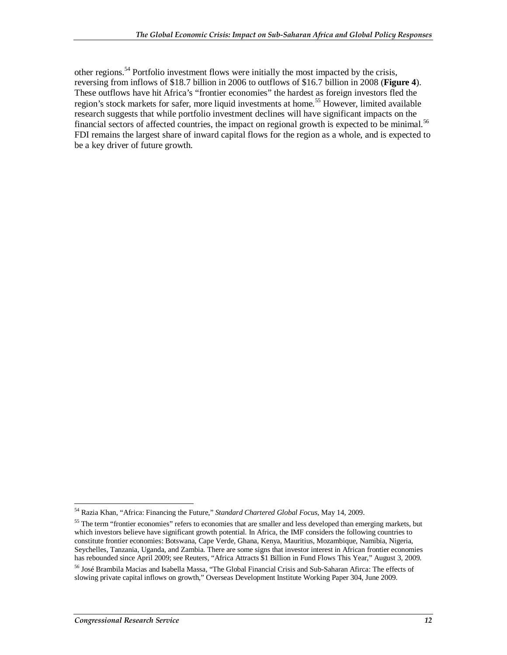other regions.<sup>54</sup> Portfolio investment flows were initially the most impacted by the crisis, reversing from inflows of \$18.7 billion in 2006 to outflows of \$16.7 billion in 2008 (**Figure 4**). These outflows have hit Africa's "frontier economies" the hardest as foreign investors fled the region's stock markets for safer, more liquid investments at home.<sup>55</sup> However, limited available research suggests that while portfolio investment declines will have significant impacts on the financial sectors of affected countries, the impact on regional growth is expected to be minimal.<sup>56</sup> FDI remains the largest share of inward capital flows for the region as a whole, and is expected to be a key driver of future growth.

<sup>&</sup>lt;u>.</u> 54 Razia Khan, "Africa: Financing the Future," *Standard Chartered Global Focus*, May 14, 2009.

<sup>&</sup>lt;sup>55</sup> The term "frontier economies" refers to economies that are smaller and less developed than emerging markets, but which investors believe have significant growth potential. In Africa, the IMF considers the following countries to constitute frontier economies: Botswana, Cape Verde, Ghana, Kenya, Mauritius, Mozambique, Namibia, Nigeria, Seychelles, Tanzania, Uganda, and Zambia. There are some signs that investor interest in African frontier economies has rebounded since April 2009; see Reuters, "Africa Attracts \$1 Billion in Fund Flows This Year," August 3, 2009.

<sup>56</sup> José Brambila Macias and Isabella Massa, "The Global Financial Crisis and Sub-Saharan Afirca: The effects of slowing private capital inflows on growth," Overseas Development Institute Working Paper 304, June 2009.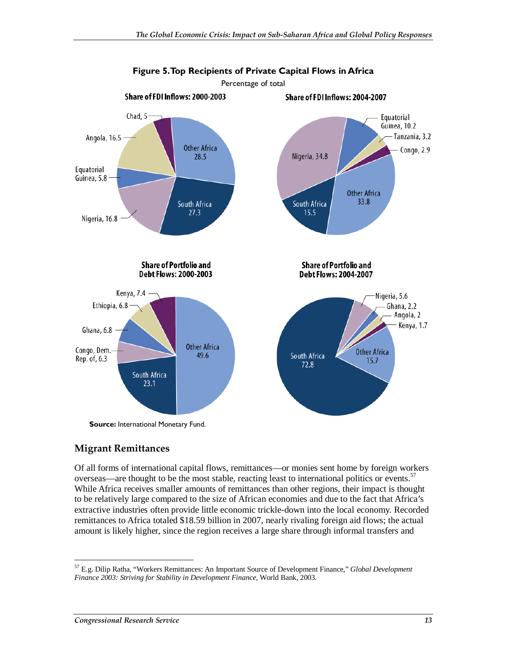

#### **Migrant Remittances**

Of all forms of international capital flows, remittances—or monies sent home by foreign workers overseas—are thought to be the most stable, reacting least to international politics or events.<sup>57</sup> While Africa receives smaller amounts of remittances than other regions, their impact is thought to be relatively large compared to the size of African economies and due to the fact that Africa's extractive industries often provide little economic trickle-down into the local economy. Recorded remittances to Africa totaled \$18.59 billion in 2007, nearly rivaling foreign aid flows; the actual amount is likely higher, since the region receives a large share through informal transfers and

-

<sup>57</sup> E.g. Dilip Ratha, "Workers Remittances: An Important Source of Development Finance," *Global Development Finance 2003: Striving for Stability in Development Finance*, World Bank, 2003.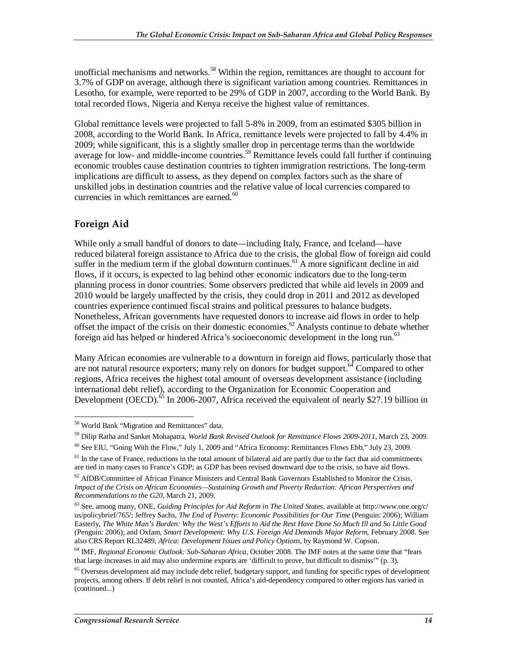unofficial mechanisms and networks.<sup>58</sup> Within the region, remittances are thought to account for 3.7% of GDP on average, although there is significant variation among countries. Remittances in Lesotho, for example, were reported to be 29% of GDP in 2007, according to the World Bank. By total recorded flows, Nigeria and Kenya receive the highest value of remittances.

Global remittance levels were projected to fall 5-8% in 2009, from an estimated \$305 billion in 2008, according to the World Bank. In Africa, remittance levels were projected to fall by 4.4% in 2009; while significant, this is a slightly smaller drop in percentage terms than the worldwide average for low- and middle-income countries.<sup>59</sup> Remittance levels could fall further if continuing economic troubles cause destination countries to tighten immigration restrictions. The long-term implications are difficult to assess, as they depend on complex factors such as the share of unskilled jobs in destination countries and the relative value of local currencies compared to currencies in which remittances are earned.<sup>60</sup>

#### **Foreign Aid**

While only a small handful of donors to date—including Italy, France, and Iceland—have reduced bilateral foreign assistance to Africa due to the crisis, the global flow of foreign aid could suffer in the medium term if the global downturn continues.<sup>61</sup> A more significant decline in aid flows, if it occurs, is expected to lag behind other economic indicators due to the long-term planning process in donor countries. Some observers predicted that while aid levels in 2009 and 2010 would be largely unaffected by the crisis, they could drop in 2011 and 2012 as developed countries experience continued fiscal strains and political pressures to balance budgets. Nonetheless, African governments have requested donors to increase aid flows in order to help offset the impact of the crisis on their domestic economies.<sup>62</sup> Analysts continue to debate whether foreign aid has helped or hindered Africa's socioeconomic development in the long run.<sup>63</sup>

Many African economies are vulnerable to a downturn in foreign aid flows, particularly those that are not natural resource exporters; many rely on donors for budget support. $^{64}$  Compared to other regions, Africa receives the highest total amount of overseas development assistance (including international debt relief), according to the Organization for Economic Cooperation and Development (OECD).<sup>65</sup> In 2006-2007, Africa received the equivalent of nearly \$27.19 billion in

<sup>-</sup>58 World Bank "Migration and Remittances" data.

<sup>59</sup> Dilip Ratha and Sanket Mohapatra, *World Bank Revised Outlook for Remittance Flows 2009-2011*, March 23, 2009.

<sup>60</sup> See EIU, "Going With the Flow," July 1, 2009 and "Africa Economy: Remittances Flows Ebb," July 23, 2009.

 $<sup>61</sup>$  In the case of France, reductions in the total amount of bilateral aid are partly due to the fact that aid commitments</sup> are tied in many cases to France's GDP; as GDP has been revised downward due to the crisis, so have aid flows.

 $62$  AfDB/Committee of African Finance Ministers and Central Bank Governors Established to Monitor the Crisis, *Impact of the Crisis on African Economies—Sustaining Growth and Poverty Reduction: African Perspectives and Recommendations to the G20*, March 21, 2009.

<sup>63</sup> See, among many, ONE, *Guiding Principles for Aid Reform in The United States*, available at http://www.one.org/c/ us/policybrief/765/; Jeffrey Sachs, *The End of Poverty: Economic Possibilities for Our Time* (Penguin: 2006); William Easterly, *The White Man's Burden: Why the West's Efforts to Aid the Rest Have Done So Much Ill and So Little Good* (Penguin: 2006); and Oxfam, *Smart Development: Why U.S. Foreign Aid Demands Major Reform*, February 2008. See also CRS Report RL32489, *Africa: Development Issues and Policy Options*, by Raymond W. Copson.

<sup>64</sup> IMF, *Regional Economic Outlook: Sub-Saharan Africa*, October 2008. The IMF notes at the same time that "fears that large increases in aid may also undermine exports are 'difficult to prove, but difficult to dismiss'" (p. 3).

 $65$  Overseas development aid may include debt relief, budgetary support, and funding for specific types of development projects, among others. If debt relief is not counted, Africa's aid-dependency compared to other regions has varied in (continued...)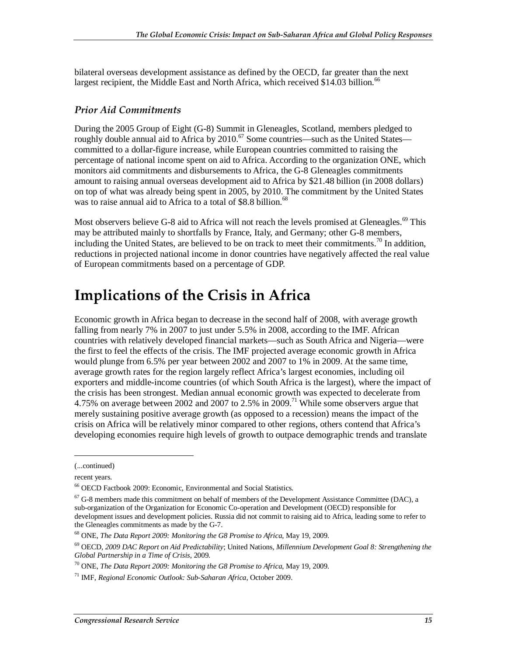bilateral overseas development assistance as defined by the OECD, far greater than the next largest recipient, the Middle East and North Africa, which received \$14.03 billion.<sup>66</sup>

#### *Prior Aid Commitments*

During the 2005 Group of Eight (G-8) Summit in Gleneagles, Scotland, members pledged to roughly double annual aid to Africa by 2010.<sup>67</sup> Some countries—such as the United States committed to a dollar-figure increase, while European countries committed to raising the percentage of national income spent on aid to Africa. According to the organization ONE, which monitors aid commitments and disbursements to Africa, the G-8 Gleneagles commitments amount to raising annual overseas development aid to Africa by \$21.48 billion (in 2008 dollars) on top of what was already being spent in 2005, by 2010. The commitment by the United States was to raise annual aid to Africa to a total of \$8.8 billion.<sup>68</sup>

Most observers believe G-8 aid to Africa will not reach the levels promised at Gleneagles.<sup>69</sup> This may be attributed mainly to shortfalls by France, Italy, and Germany; other G-8 members, including the United States, are believed to be on track to meet their commitments.<sup>70</sup> In addition, reductions in projected national income in donor countries have negatively affected the real value of European commitments based on a percentage of GDP.

## **Implications of the Crisis in Africa**

Economic growth in Africa began to decrease in the second half of 2008, with average growth falling from nearly 7% in 2007 to just under 5.5% in 2008, according to the IMF. African countries with relatively developed financial markets—such as South Africa and Nigeria—were the first to feel the effects of the crisis. The IMF projected average economic growth in Africa would plunge from 6.5% per year between 2002 and 2007 to 1% in 2009. At the same time, average growth rates for the region largely reflect Africa's largest economies, including oil exporters and middle-income countries (of which South Africa is the largest), where the impact of the crisis has been strongest. Median annual economic growth was expected to decelerate from 4.75% on average between 2002 and 2007 to 2.5% in 2009.<sup>71</sup> While some observers argue that merely sustaining positive average growth (as opposed to a recession) means the impact of the crisis on Africa will be relatively minor compared to other regions, others contend that Africa's developing economies require high levels of growth to outpace demographic trends and translate

<u>.</u>

<sup>(...</sup>continued)

recent years.

<sup>66</sup> OECD Factbook 2009: Economic, Environmental and Social Statistics.

 $67$  G-8 members made this commitment on behalf of members of the Development Assistance Committee (DAC), a sub-organization of the Organization for Economic Co-operation and Development (OECD) responsible for development issues and development policies. Russia did not commit to raising aid to Africa, leading some to refer to the Gleneagles commitments as made by the G-7.

<sup>68</sup> ONE, *The Data Report 2009: Monitoring the G8 Promise to Africa*, May 19, 2009.

<sup>69</sup> OECD, *2009 DAC Report on Aid Predictability*; United Nations, *Millennium Development Goal 8: Strengthening the* 

<sup>&</sup>lt;sup>70</sup> ONE, *The Data Report 2009: Monitoring the G8 Promise to Africa*, May 19, 2009.

<sup>71</sup> IMF, *Regional Economic Outlook: Sub-Saharan Africa*, October 2009.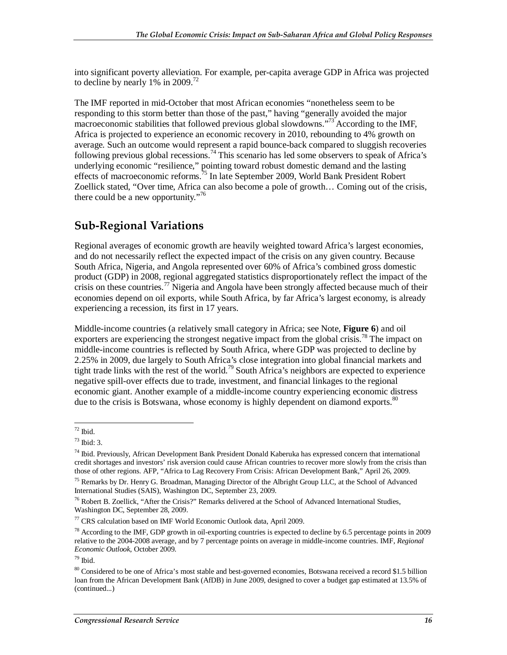into significant poverty alleviation. For example, per-capita average GDP in Africa was projected to decline by nearly  $1\%$  in 2009.<sup>72</sup>

The IMF reported in mid-October that most African economies "nonetheless seem to be responding to this storm better than those of the past," having "generally avoided the major macroeconomic stabilities that followed previous global slowdowns."<sup>73</sup> According to the IMF, Africa is projected to experience an economic recovery in 2010, rebounding to 4% growth on average. Such an outcome would represent a rapid bounce-back compared to sluggish recoveries following previous global recessions.<sup>74</sup> This scenario has led some observers to speak of Africa's underlying economic "resilience," pointing toward robust domestic demand and the lasting effects of macroeconomic reforms.<sup>75</sup> In late September 2009, World Bank President Robert Zoellick stated, "Over time, Africa can also become a pole of growth… Coming out of the crisis, there could be a new opportunity. $176$ 

### **Sub-Regional Variations**

Regional averages of economic growth are heavily weighted toward Africa's largest economies, and do not necessarily reflect the expected impact of the crisis on any given country. Because South Africa, Nigeria, and Angola represented over 60% of Africa's combined gross domestic product (GDP) in 2008, regional aggregated statistics disproportionately reflect the impact of the crisis on these countries.<sup>77</sup> Nigeria and Angola have been strongly affected because much of their economies depend on oil exports, while South Africa, by far Africa's largest economy, is already experiencing a recession, its first in 17 years.

Middle-income countries (a relatively small category in Africa; see Note, **Figure 6**) and oil exporters are experiencing the strongest negative impact from the global crisis.<sup>78</sup> The impact on middle-income countries is reflected by South Africa, where GDP was projected to decline by 2.25% in 2009, due largely to South Africa's close integration into global financial markets and tight trade links with the rest of the world.<sup>79</sup> South Africa's neighbors are expected to experience negative spill-over effects due to trade, investment, and financial linkages to the regional economic giant. Another example of a middle-income country experiencing economic distress due to the crisis is Botswana, whose economy is highly dependent on diamond exports. $80^\circ$ 

<sup>-</sup> $72$  Ibid.

 $73$  Ibid: 3.

<sup>74</sup> Ibid. Previously, African Development Bank President Donald Kaberuka has expressed concern that international credit shortages and investors' risk aversion could cause African countries to recover more slowly from the crisis than those of other regions. AFP, "Africa to Lag Recovery From Crisis: African Development Bank," April 26, 2009.

<sup>&</sup>lt;sup>75</sup> Remarks by Dr. Henry G. Broadman, Managing Director of the Albright Group LLC, at the School of Advanced International Studies (SAIS), Washington DC, September 23, 2009.

<sup>76</sup> Robert B. Zoellick, "After the Crisis?" Remarks delivered at the School of Advanced International Studies, Washington DC, September 28, 2009.

 $77$  CRS calculation based on IMF World Economic Outlook data, April 2009.

<sup>&</sup>lt;sup>78</sup> According to the IMF, GDP growth in oil-exporting countries is expected to decline by 6.5 percentage points in 2009 relative to the 2004-2008 average, and by 7 percentage points on average in middle-income countries. IMF, *Regional Economic Outlook*, October 2009.

 $79$  Ibid.

<sup>&</sup>lt;sup>80</sup> Considered to be one of Africa's most stable and best-governed economies, Botswana received a record \$1.5 billion loan from the African Development Bank (AfDB) in June 2009, designed to cover a budget gap estimated at 13.5% of (continued...)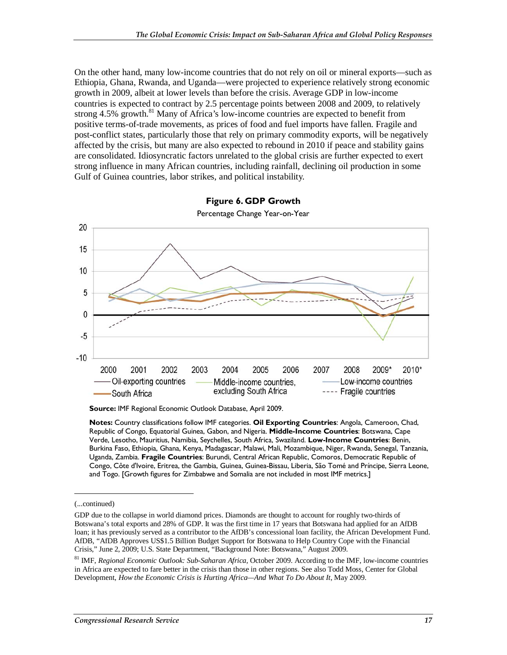On the other hand, many low-income countries that do not rely on oil or mineral exports—such as Ethiopia, Ghana, Rwanda, and Uganda—were projected to experience relatively strong economic growth in 2009, albeit at lower levels than before the crisis. Average GDP in low-income countries is expected to contract by 2.5 percentage points between 2008 and 2009, to relatively strong  $4.5\%$  growth.<sup>81</sup> Many of Africa's low-income countries are expected to benefit from positive terms-of-trade movements, as prices of food and fuel imports have fallen. Fragile and post-conflict states, particularly those that rely on primary commodity exports, will be negatively affected by the crisis, but many are also expected to rebound in 2010 if peace and stability gains are consolidated. Idiosyncratic factors unrelated to the global crisis are further expected to exert strong influence in many African countries, including rainfall, declining oil production in some Gulf of Guinea countries, labor strikes, and political instability.



**Figure 6. GDP Growth** 

Percentage Change Year-on-Year

**Source:** IMF Regional Economic Outlook Database, April 2009.

**Notes:** Country classifications follow IMF categories. **Oil Exporting Countries**: Angola, Cameroon, Chad, Republic of Congo, Equatorial Guinea, Gabon, and Nigeria. **Middle-Income Countries**: Botswana, Cape Verde, Lesotho, Mauritius, Namibia, Seychelles, South Africa, Swaziland. **Low-Income Countries**: Benin, Burkina Faso, Ethiopia, Ghana, Kenya, Madagascar, Malawi, Mali, Mozambique, Niger, Rwanda, Senegal, Tanzania, Uganda, Zambia. **Fragile Countries**: Burundi, Central African Republic, Comoros, Democratic Republic of Congo, Côte d'Ivoire, Eritrea, the Gambia, Guinea, Guinea-Bissau, Liberia, São Tomé and Príncipe, Sierra Leone, and Togo. [Growth figures for Zimbabwe and Somalia are not included in most IMF metrics.]

<u>.</u>

<sup>(...</sup>continued)

GDP due to the collapse in world diamond prices. Diamonds are thought to account for roughly two-thirds of Botswana's total exports and 28% of GDP. It was the first time in 17 years that Botswana had applied for an AfDB loan; it has previously served as a contributor to the AfDB's concessional loan facility, the African Development Fund. AfDB, "AfDB Approves US\$1.5 Billion Budget Support for Botswana to Help Country Cope with the Financial Crisis," June 2, 2009; U.S. State Department, "Background Note: Botswana," August 2009.

<sup>81</sup> IMF, *Regional Economic Outlook: Sub-Saharan Africa*, October 2009. According to the IMF, low-income countries in Africa are expected to fare better in the crisis than those in other regions. See also Todd Moss, Center for Global Development, *How the Economic Crisis is Hurting Africa—And What To Do About It*, May 2009.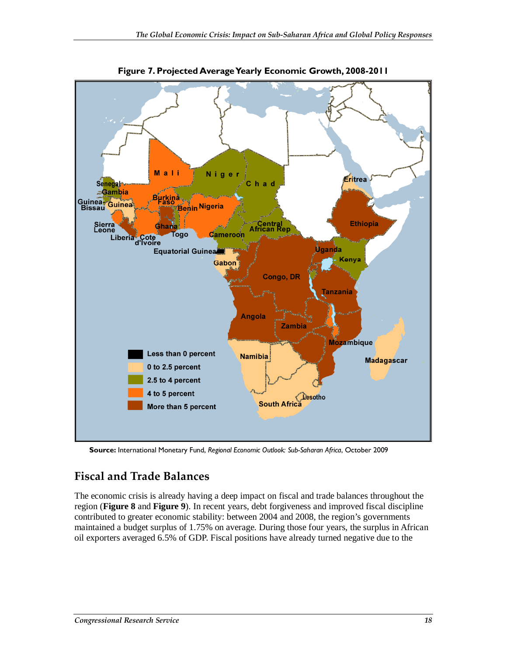

**Figure 7. Projected Average Yearly Economic Growth, 2008-2011** 

**Source:** International Monetary Fund, *Regional Economic Outlook: Sub-Saharan Africa*, October 2009

## **Fiscal and Trade Balances**

The economic crisis is already having a deep impact on fiscal and trade balances throughout the region (**Figure 8** and **Figure 9**). In recent years, debt forgiveness and improved fiscal discipline contributed to greater economic stability: between 2004 and 2008, the region's governments maintained a budget surplus of 1.75% on average. During those four years, the surplus in African oil exporters averaged 6.5% of GDP. Fiscal positions have already turned negative due to the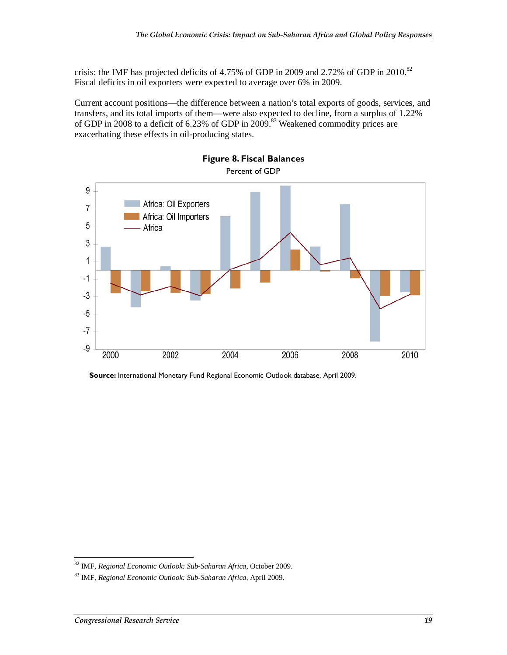crisis: the IMF has projected deficits of 4.75% of GDP in 2009 and 2.72% of GDP in 2010.<sup>82</sup> Fiscal deficits in oil exporters were expected to average over 6% in 2009.

Current account positions—the difference between a nation's total exports of goods, services, and transfers, and its total imports of them—were also expected to decline, from a surplus of 1.22% of GDP in 2008 to a deficit of  $6.23\%$  of GDP in 2009.<sup>83</sup> Weakened commodity prices are exacerbating these effects in oil-producing states.



**Figure 8. Fiscal Balances** 

**Source:** International Monetary Fund Regional Economic Outlook database, April 2009.

 $\overline{a}$ 82 IMF, *Regional Economic Outlook: Sub-Saharan Africa*, October 2009.

<sup>83</sup> IMF, *Regional Economic Outlook: Sub-Saharan Africa*, April 2009.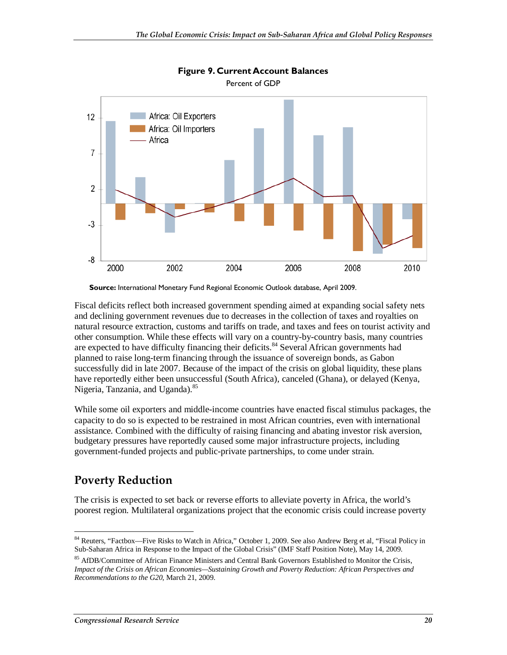

## **Figure 9. Current Account Balances**

Fiscal deficits reflect both increased government spending aimed at expanding social safety nets and declining government revenues due to decreases in the collection of taxes and royalties on natural resource extraction, customs and tariffs on trade, and taxes and fees on tourist activity and other consumption. While these effects will vary on a country-by-country basis, many countries are expected to have difficulty financing their deficits.<sup>84</sup> Several African governments had planned to raise long-term financing through the issuance of sovereign bonds, as Gabon successfully did in late 2007. Because of the impact of the crisis on global liquidity, these plans have reportedly either been unsuccessful (South Africa), canceled (Ghana), or delayed (Kenya, Nigeria, Tanzania, and Uganda).<sup>85</sup>

While some oil exporters and middle-income countries have enacted fiscal stimulus packages, the capacity to do so is expected to be restrained in most African countries, even with international assistance. Combined with the difficulty of raising financing and abating investor risk aversion, budgetary pressures have reportedly caused some major infrastructure projects, including government-funded projects and public-private partnerships, to come under strain.

### **Poverty Reduction**

The crisis is expected to set back or reverse efforts to alleviate poverty in Africa, the world's poorest region. Multilateral organizations project that the economic crisis could increase poverty

**Source:** International Monetary Fund Regional Economic Outlook database, April 2009.

<sup>&</sup>lt;u>.</u> <sup>84</sup> Reuters, "Factbox—Five Risks to Watch in Africa," October 1, 2009. See also Andrew Berg et al, "Fiscal Policy in Sub-Saharan Africa in Response to the Impact of the Global Crisis" (IMF Staff Position Note), May 14, 2009.

<sup>&</sup>lt;sup>85</sup> AfDB/Committee of African Finance Ministers and Central Bank Governors Established to Monitor the Crisis, *Impact of the Crisis on African Economies—Sustaining Growth and Poverty Reduction: African Perspectives and Recommendations to the G20*, March 21, 2009.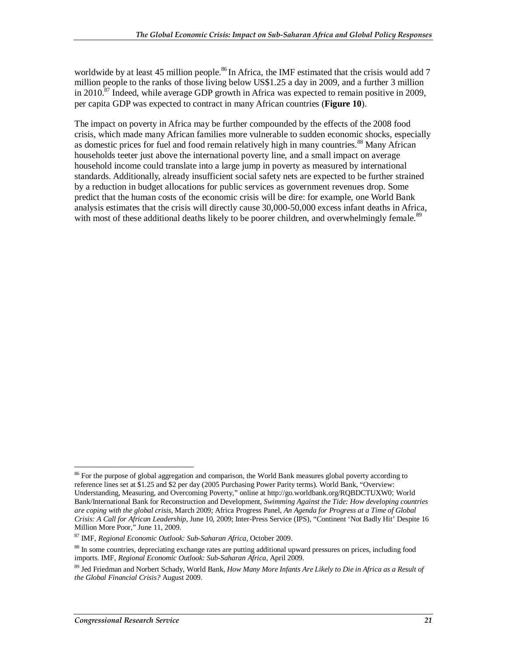worldwide by at least 45 million people.<sup>86</sup> In Africa, the IMF estimated that the crisis would add 7 million people to the ranks of those living below US\$1.25 a day in 2009, and a further 3 million in 2010.<sup>87</sup> Indeed, while average GDP growth in Africa was expected to remain positive in 2009, per capita GDP was expected to contract in many African countries (**Figure 10**).

The impact on poverty in Africa may be further compounded by the effects of the 2008 food crisis, which made many African families more vulnerable to sudden economic shocks, especially as domestic prices for fuel and food remain relatively high in many countries.<sup>88</sup> Many African households teeter just above the international poverty line, and a small impact on average household income could translate into a large jump in poverty as measured by international standards. Additionally, already insufficient social safety nets are expected to be further strained by a reduction in budget allocations for public services as government revenues drop. Some predict that the human costs of the economic crisis will be dire: for example, one World Bank analysis estimates that the crisis will directly cause 30,000-50,000 excess infant deaths in Africa, with most of these additional deaths likely to be poorer children, and overwhelmingly female.<sup>89</sup>

-

<sup>&</sup>lt;sup>86</sup> For the purpose of global aggregation and comparison, the World Bank measures global poverty according to reference lines set at \$1.25 and \$2 per day (2005 Purchasing Power Parity terms). World Bank, "Overview: Understanding, Measuring, and Overcoming Poverty," online at http://go.worldbank.org/RQBDCTUXW0; World Bank/International Bank for Reconstruction and Development, *Swimming Against the Tide: How developing countries are coping with the global crisis*, March 2009; Africa Progress Panel, *An Agenda for Progress at a Time of Global Crisis: A Call for African Leadership*, June 10, 2009; Inter-Press Service (IPS), "Continent 'Not Badly Hit' Despite 16 Million More Poor," June 11, 2009.

<sup>87</sup> IMF, *Regional Economic Outlook: Sub-Saharan Africa*, October 2009.

<sup>&</sup>lt;sup>88</sup> In some countries, depreciating exchange rates are putting additional upward pressures on prices, including food imports. IMF, *Regional Economic Outlook: Sub-Saharan Africa*, April 2009.

<sup>89</sup> Jed Friedman and Norbert Schady, World Bank, *How Many More Infants Are Likely to Die in Africa as a Result of the Global Financial Crisis?* August 2009.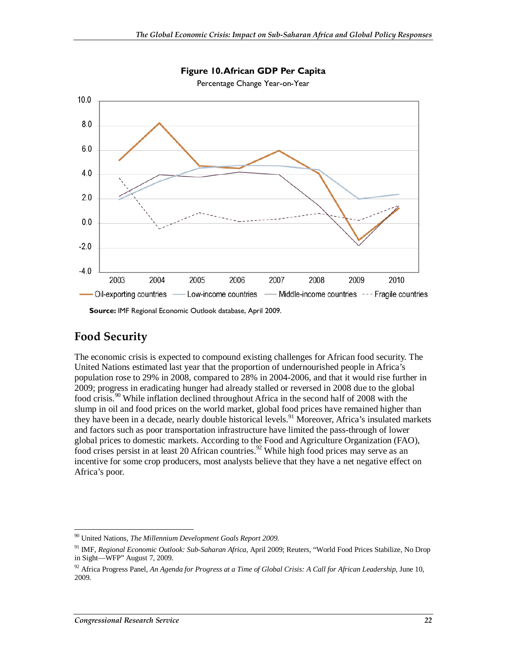

**Figure 10. African GDP Per Capita** 

**Source:** IMF Regional Economic Outlook database, April 2009.

#### **Food Security**

The economic crisis is expected to compound existing challenges for African food security. The United Nations estimated last year that the proportion of undernourished people in Africa's population rose to 29% in 2008, compared to 28% in 2004-2006, and that it would rise further in 2009; progress in eradicating hunger had already stalled or reversed in 2008 due to the global food crisis.90 While inflation declined throughout Africa in the second half of 2008 with the slump in oil and food prices on the world market, global food prices have remained higher than they have been in a decade, nearly double historical levels.<sup>91</sup> Moreover, Africa's insulated markets and factors such as poor transportation infrastructure have limited the pass-through of lower global prices to domestic markets. According to the Food and Agriculture Organization (FAO), food crises persist in at least 20 African countries.<sup>92</sup> While high food prices may serve as an incentive for some crop producers, most analysts believe that they have a net negative effect on Africa's poor.

 $\frac{1}{2}$ 90 United Nations, *The Millennium Development Goals Report 2009*.

<sup>91</sup> IMF, *Regional Economic Outlook: Sub-Saharan Africa*, April 2009; Reuters, "World Food Prices Stabilize, No Drop in Sight—WFP" August 7, 2009.

<sup>92</sup> Africa Progress Panel, *An Agenda for Progress at a Time of Global Crisis: A Call for African Leadership*, June 10, 2009.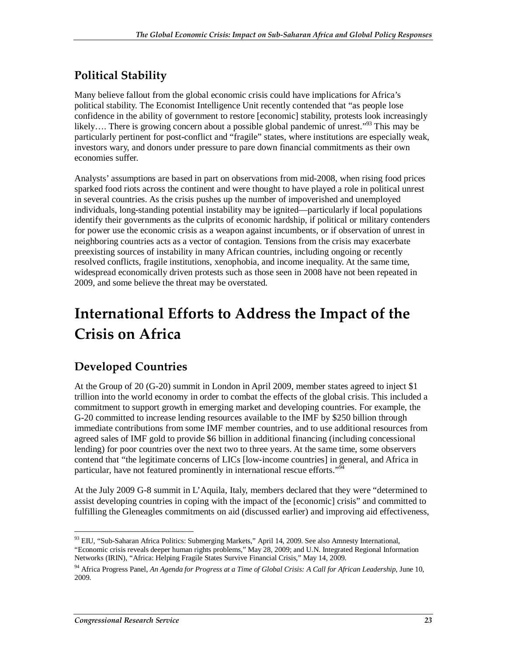## **Political Stability**

Many believe fallout from the global economic crisis could have implications for Africa's political stability. The Economist Intelligence Unit recently contended that "as people lose confidence in the ability of government to restore [economic] stability, protests look increasingly likely.... There is growing concern about a possible global pandemic of unrest."<sup>93</sup> This may be particularly pertinent for post-conflict and "fragile" states, where institutions are especially weak, investors wary, and donors under pressure to pare down financial commitments as their own economies suffer.

Analysts' assumptions are based in part on observations from mid-2008, when rising food prices sparked food riots across the continent and were thought to have played a role in political unrest in several countries. As the crisis pushes up the number of impoverished and unemployed individuals, long-standing potential instability may be ignited—particularly if local populations identify their governments as the culprits of economic hardship, if political or military contenders for power use the economic crisis as a weapon against incumbents, or if observation of unrest in neighboring countries acts as a vector of contagion. Tensions from the crisis may exacerbate preexisting sources of instability in many African countries, including ongoing or recently resolved conflicts, fragile institutions, xenophobia, and income inequality. At the same time, widespread economically driven protests such as those seen in 2008 have not been repeated in 2009, and some believe the threat may be overstated.

## **International Efforts to Address the Impact of the Crisis on Africa**

## **Developed Countries**

At the Group of 20 (G-20) summit in London in April 2009, member states agreed to inject \$1 trillion into the world economy in order to combat the effects of the global crisis. This included a commitment to support growth in emerging market and developing countries. For example, the G-20 committed to increase lending resources available to the IMF by \$250 billion through immediate contributions from some IMF member countries, and to use additional resources from agreed sales of IMF gold to provide \$6 billion in additional financing (including concessional lending) for poor countries over the next two to three years. At the same time, some observers contend that "the legitimate concerns of LICs [low-income countries] in general, and Africa in particular, have not featured prominently in international rescue efforts."<sup>94</sup>

At the July 2009 G-8 summit in L'Aquila, Italy, members declared that they were "determined to assist developing countries in coping with the impact of the [economic] crisis" and committed to fulfilling the Gleneagles commitments on aid (discussed earlier) and improving aid effectiveness,

<sup>&</sup>lt;u>.</u> <sup>93</sup> EIU, "Sub-Saharan Africa Politics: Submerging Markets," April 14, 2009. See also Amnesty International, "Economic crisis reveals deeper human rights problems," May 28, 2009; and U.N. Integrated Regional Information Networks (IRIN), "Africa: Helping Fragile States Survive Financial Crisis," May 14, 2009.

<sup>94</sup> Africa Progress Panel, *An Agenda for Progress at a Time of Global Crisis: A Call for African Leadership*, June 10, 2009.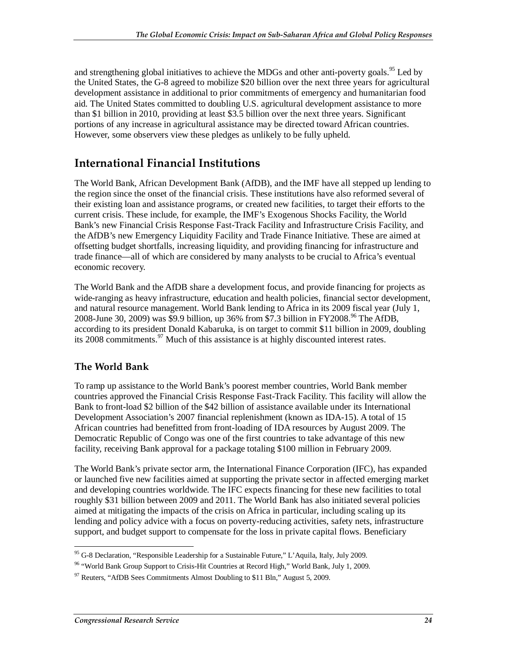and strengthening global initiatives to achieve the MDGs and other anti-poverty goals.<sup>95</sup> Led by the United States, the G-8 agreed to mobilize \$20 billion over the next three years for agricultural development assistance in additional to prior commitments of emergency and humanitarian food aid. The United States committed to doubling U.S. agricultural development assistance to more than \$1 billion in 2010, providing at least \$3.5 billion over the next three years. Significant portions of any increase in agricultural assistance may be directed toward African countries. However, some observers view these pledges as unlikely to be fully upheld.

## **International Financial Institutions**

The World Bank, African Development Bank (AfDB), and the IMF have all stepped up lending to the region since the onset of the financial crisis. These institutions have also reformed several of their existing loan and assistance programs, or created new facilities, to target their efforts to the current crisis. These include, for example, the IMF's Exogenous Shocks Facility, the World Bank's new Financial Crisis Response Fast-Track Facility and Infrastructure Crisis Facility, and the AfDB's new Emergency Liquidity Facility and Trade Finance Initiative. These are aimed at offsetting budget shortfalls, increasing liquidity, and providing financing for infrastructure and trade finance—all of which are considered by many analysts to be crucial to Africa's eventual economic recovery.

The World Bank and the AfDB share a development focus, and provide financing for projects as wide-ranging as heavy infrastructure, education and health policies, financial sector development, and natural resource management. World Bank lending to Africa in its 2009 fiscal year (July 1, 2008-June 30, 2009) was \$9.9 billion, up 36% from \$7.3 billion in FY2008.<sup>96</sup> The AfDB, according to its president Donald Kabaruka, is on target to commit \$11 billion in 2009, doubling its 2008 commitments.  $97$  Much of this assistance is at highly discounted interest rates.

### **The World Bank**

To ramp up assistance to the World Bank's poorest member countries, World Bank member countries approved the Financial Crisis Response Fast-Track Facility. This facility will allow the Bank to front-load \$2 billion of the \$42 billion of assistance available under its International Development Association's 2007 financial replenishment (known as IDA-15). A total of 15 African countries had benefitted from front-loading of IDA resources by August 2009. The Democratic Republic of Congo was one of the first countries to take advantage of this new facility, receiving Bank approval for a package totaling \$100 million in February 2009.

The World Bank's private sector arm, the International Finance Corporation (IFC), has expanded or launched five new facilities aimed at supporting the private sector in affected emerging market and developing countries worldwide. The IFC expects financing for these new facilities to total roughly \$31 billion between 2009 and 2011. The World Bank has also initiated several policies aimed at mitigating the impacts of the crisis on Africa in particular, including scaling up its lending and policy advice with a focus on poverty-reducing activities, safety nets, infrastructure support, and budget support to compensate for the loss in private capital flows. Beneficiary

<sup>-</sup><sup>95</sup> G-8 Declaration, "Responsible Leadership for a Sustainable Future," L'Aquila, Italy, July 2009.

<sup>&</sup>lt;sup>96</sup> "World Bank Group Support to Crisis-Hit Countries at Record High," World Bank, July 1, 2009.

 $97$  Reuters, "AfDB Sees Commitments Almost Doubling to \$11 Bln," August 5, 2009.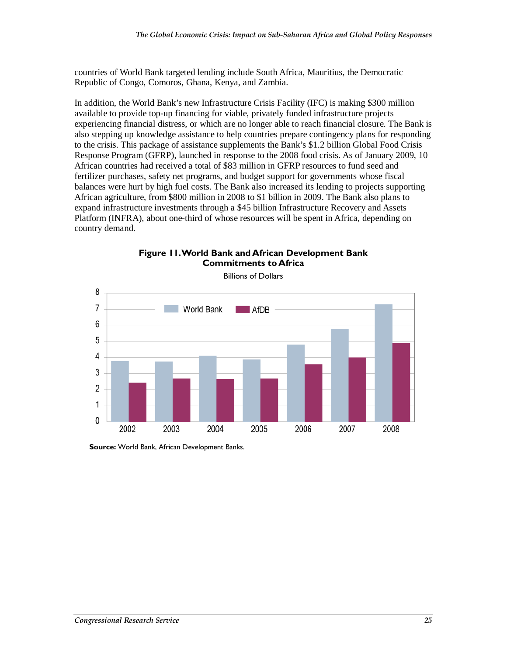countries of World Bank targeted lending include South Africa, Mauritius, the Democratic Republic of Congo, Comoros, Ghana, Kenya, and Zambia.

In addition, the World Bank's new Infrastructure Crisis Facility (IFC) is making \$300 million available to provide top-up financing for viable, privately funded infrastructure projects experiencing financial distress, or which are no longer able to reach financial closure. The Bank is also stepping up knowledge assistance to help countries prepare contingency plans for responding to the crisis. This package of assistance supplements the Bank's \$1.2 billion Global Food Crisis Response Program (GFRP), launched in response to the 2008 food crisis. As of January 2009, 10 African countries had received a total of \$83 million in GFRP resources to fund seed and fertilizer purchases, safety net programs, and budget support for governments whose fiscal balances were hurt by high fuel costs. The Bank also increased its lending to projects supporting African agriculture, from \$800 million in 2008 to \$1 billion in 2009. The Bank also plans to expand infrastructure investments through a \$45 billion Infrastructure Recovery and Assets Platform (INFRA), about one-third of whose resources will be spent in Africa, depending on country demand.



**Figure 11. World Bank and African Development Bank Commitments to Africa** 

**Source:** World Bank, African Development Banks.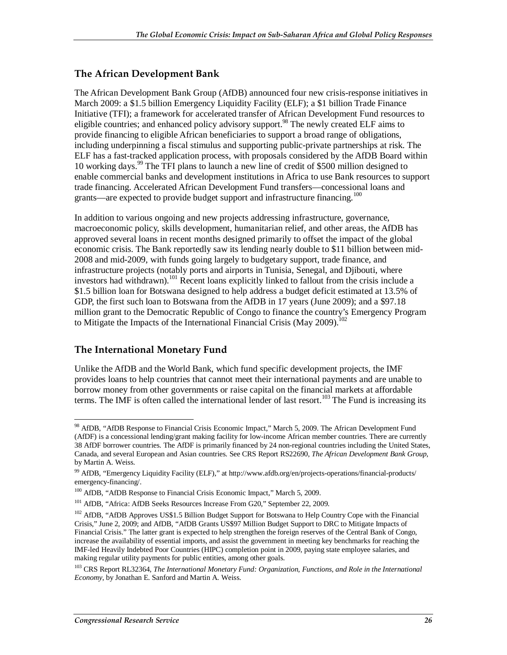#### **The African Development Bank**

The African Development Bank Group (AfDB) announced four new crisis-response initiatives in March 2009: a \$1.5 billion Emergency Liquidity Facility (ELF); a \$1 billion Trade Finance Initiative (TFI); a framework for accelerated transfer of African Development Fund resources to eligible countries; and enhanced policy advisory support.<sup>98</sup> The newly created ELF aims to provide financing to eligible African beneficiaries to support a broad range of obligations, including underpinning a fiscal stimulus and supporting public-private partnerships at risk. The ELF has a fast-tracked application process, with proposals considered by the AfDB Board within 10 working days.99 The TFI plans to launch a new line of credit of \$500 million designed to enable commercial banks and development institutions in Africa to use Bank resources to support trade financing. Accelerated African Development Fund transfers—concessional loans and grants—are expected to provide budget support and infrastructure financing.<sup>100</sup>

In addition to various ongoing and new projects addressing infrastructure, governance, macroeconomic policy, skills development, humanitarian relief, and other areas, the AfDB has approved several loans in recent months designed primarily to offset the impact of the global economic crisis. The Bank reportedly saw its lending nearly double to \$11 billion between mid-2008 and mid-2009, with funds going largely to budgetary support, trade finance, and infrastructure projects (notably ports and airports in Tunisia, Senegal, and Djibouti, where investors had withdrawn).<sup>101</sup> Recent loans explicitly linked to fallout from the crisis include a \$1.5 billion loan for Botswana designed to help address a budget deficit estimated at 13.5% of GDP, the first such loan to Botswana from the AfDB in 17 years (June 2009); and a \$97.18 million grant to the Democratic Republic of Congo to finance the country's Emergency Program to Mitigate the Impacts of the International Financial Crisis (May 2009).<sup>102</sup>

#### **The International Monetary Fund**

Unlike the AfDB and the World Bank, which fund specific development projects, the IMF provides loans to help countries that cannot meet their international payments and are unable to borrow money from other governments or raise capital on the financial markets at affordable terms. The IMF is often called the international lender of last resort.<sup>103</sup> The Fund is increasing its

<sup>&</sup>lt;u>.</u> <sup>98</sup> AfDB, "AfDB Response to Financial Crisis Economic Impact," March 5, 2009. The African Development Fund (AfDF) is a concessional lending/grant making facility for low-income African member countries. There are currently 38 AfDF borrower countries. The AfDF is primarily financed by 24 non-regional countries including the United States, Canada, and several European and Asian countries. See CRS Report RS22690, *The African Development Bank Group*, by Martin A. Weiss.

<sup>99</sup> AfDB, "Emergency Liquidity Facility (ELF)," at http://www.afdb.org/en/projects-operations/financial-products/ emergency-financing/.

<sup>&</sup>lt;sup>100</sup> AfDB, "AfDB Response to Financial Crisis Economic Impact," March 5, 2009.

<sup>101</sup> AfDB, "Africa: AfDB Seeks Resources Increase From G20," September 22, 2009.

<sup>&</sup>lt;sup>102</sup> AfDB, "AfDB Approves US\$1.5 Billion Budget Support for Botswana to Help Country Cope with the Financial Crisis," June 2, 2009; and AfDB, "AfDB Grants US\$97 Million Budget Support to DRC to Mitigate Impacts of Financial Crisis." The latter grant is expected to help strengthen the foreign reserves of the Central Bank of Congo, increase the availability of essential imports, and assist the government in meeting key benchmarks for reaching the IMF-led Heavily Indebted Poor Countries (HIPC) completion point in 2009, paying state employee salaries, and making regular utility payments for public entities, among other goals.

<sup>103</sup> CRS Report RL32364, *The International Monetary Fund: Organization, Functions, and Role in the International Economy*, by Jonathan E. Sanford and Martin A. Weiss.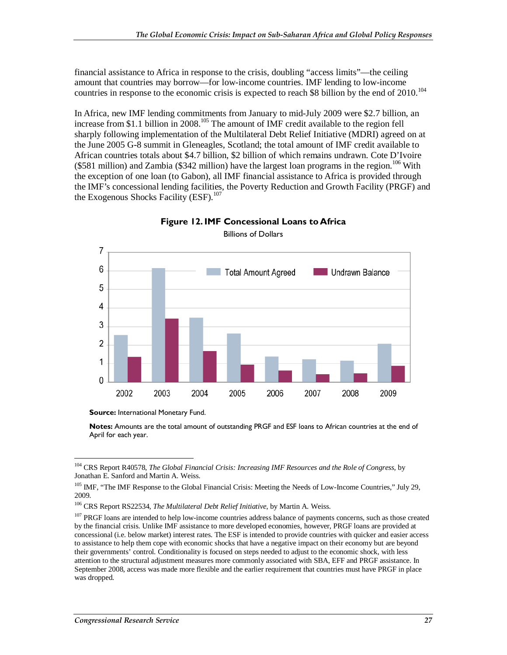financial assistance to Africa in response to the crisis, doubling "access limits"—the ceiling amount that countries may borrow—for low-income countries. IMF lending to low-income countries in response to the economic crisis is expected to reach \$8 billion by the end of 2010.<sup>104</sup>

In Africa, new IMF lending commitments from January to mid-July 2009 were \$2.7 billion, an increase from \$1.1 billion in 2008.<sup>105</sup> The amount of IMF credit available to the region fell sharply following implementation of the Multilateral Debt Relief Initiative (MDRI) agreed on at the June 2005 G-8 summit in Gleneagles, Scotland; the total amount of IMF credit available to African countries totals about \$4.7 billion, \$2 billion of which remains undrawn. Cote D'Ivoire ( $$581$  million) and Zambia ( $$342$  million) have the largest loan programs in the region.<sup>106</sup> With the exception of one loan (to Gabon), all IMF financial assistance to Africa is provided through the IMF's concessional lending facilities, the Poverty Reduction and Growth Facility (PRGF) and the Exogenous Shocks Facility (ESF).<sup>107</sup>



**Figure 12. IMF Concessional Loans to Africa**  Billions of Dollars

**Source: International Monetary Fund.** 

**Notes:** Amounts are the total amount of outstanding PRGF and ESF loans to African countries at the end of April for each year.

<sup>-</sup>104 CRS Report R40578, *The Global Financial Crisis: Increasing IMF Resources and the Role of Congress*, by Jonathan E. Sanford and Martin A. Weiss.

<sup>&</sup>lt;sup>105</sup> IMF. "The IMF Response to the Global Financial Crisis: Meeting the Needs of Low-Income Countries," July 29, 2009.

<sup>106</sup> CRS Report RS22534, *The Multilateral Debt Relief Initiative*, by Martin A. Weiss.

<sup>&</sup>lt;sup>107</sup> PRGF loans are intended to help low-income countries address balance of payments concerns, such as those created by the financial crisis. Unlike IMF assistance to more developed economies, however, PRGF loans are provided at concessional (i.e. below market) interest rates. The ESF is intended to provide countries with quicker and easier access to assistance to help them cope with economic shocks that have a negative impact on their economy but are beyond their governments' control. Conditionality is focused on steps needed to adjust to the economic shock, with less attention to the structural adjustment measures more commonly associated with SBA, EFF and PRGF assistance. In September 2008, access was made more flexible and the earlier requirement that countries must have PRGF in place was dropped.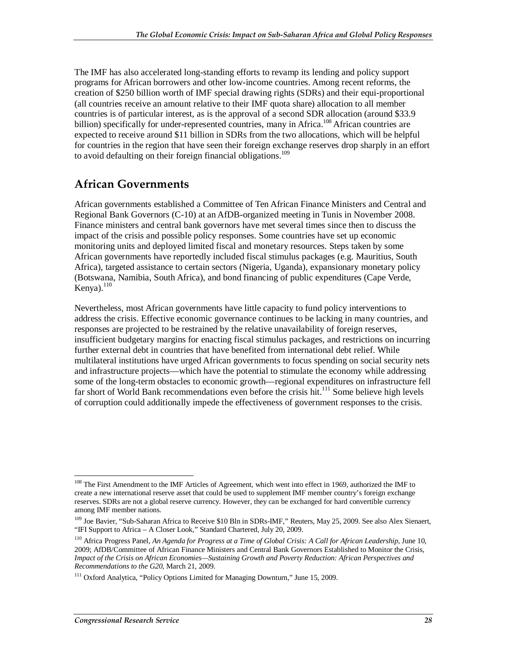The IMF has also accelerated long-standing efforts to revamp its lending and policy support programs for African borrowers and other low-income countries. Among recent reforms, the creation of \$250 billion worth of IMF special drawing rights (SDRs) and their equi-proportional (all countries receive an amount relative to their IMF quota share) allocation to all member countries is of particular interest, as is the approval of a second SDR allocation (around \$33.9 billion) specifically for under-represented countries, many in Africa.<sup>108</sup> African countries are expected to receive around \$11 billion in SDRs from the two allocations, which will be helpful for countries in the region that have seen their foreign exchange reserves drop sharply in an effort to avoid defaulting on their foreign financial obligations.<sup>109</sup>

### **African Governments**

African governments established a Committee of Ten African Finance Ministers and Central and Regional Bank Governors (C-10) at an AfDB-organized meeting in Tunis in November 2008. Finance ministers and central bank governors have met several times since then to discuss the impact of the crisis and possible policy responses. Some countries have set up economic monitoring units and deployed limited fiscal and monetary resources. Steps taken by some African governments have reportedly included fiscal stimulus packages (e.g. Mauritius, South Africa), targeted assistance to certain sectors (Nigeria, Uganda), expansionary monetary policy (Botswana, Namibia, South Africa), and bond financing of public expenditures (Cape Verde, Kenya). $110$ 

Nevertheless, most African governments have little capacity to fund policy interventions to address the crisis. Effective economic governance continues to be lacking in many countries, and responses are projected to be restrained by the relative unavailability of foreign reserves, insufficient budgetary margins for enacting fiscal stimulus packages, and restrictions on incurring further external debt in countries that have benefited from international debt relief. While multilateral institutions have urged African governments to focus spending on social security nets and infrastructure projects—which have the potential to stimulate the economy while addressing some of the long-term obstacles to economic growth—regional expenditures on infrastructure fell far short of World Bank recommendations even before the crisis hit.<sup>111</sup> Some believe high levels of corruption could additionally impede the effectiveness of government responses to the crisis.

<sup>-</sup><sup>108</sup> The First Amendment to the IMF Articles of Agreement, which went into effect in 1969, authorized the IMF to create a new international reserve asset that could be used to supplement IMF member country's foreign exchange reserves. SDRs are not a global reserve currency. However, they can be exchanged for hard convertible currency among IMF member nations.

<sup>&</sup>lt;sup>109</sup> Joe Bavier, "Sub-Saharan Africa to Receive \$10 Bln in SDRs-IMF," Reuters, May 25, 2009. See also Alex Sienaert, "IFI Support to Africa – A Closer Look," Standard Chartered, July 20, 2009.

<sup>&</sup>lt;sup>110</sup> Africa Progress Panel, *An Agenda for Progress at a Time of Global Crisis: A Call for African Leadership*, June 10, 2009; AfDB/Committee of African Finance Ministers and Central Bank Governors Established to Monitor the Crisis, *Impact of the Crisis on African Economies—Sustaining Growth and Poverty Reduction: African Perspectives and Recommendations to the G20*, March 21, 2009.

<sup>&</sup>lt;sup>111</sup> Oxford Analytica, "Policy Options Limited for Managing Downturn," June 15, 2009.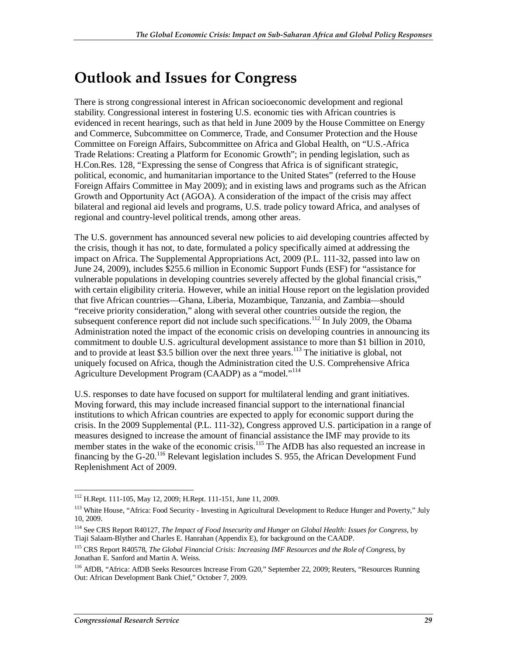## **Outlook and Issues for Congress**

There is strong congressional interest in African socioeconomic development and regional stability. Congressional interest in fostering U.S. economic ties with African countries is evidenced in recent hearings, such as that held in June 2009 by the House Committee on Energy and Commerce, Subcommittee on Commerce, Trade, and Consumer Protection and the House Committee on Foreign Affairs, Subcommittee on Africa and Global Health, on "U.S.-Africa Trade Relations: Creating a Platform for Economic Growth"; in pending legislation, such as H.Con.Res. 128, "Expressing the sense of Congress that Africa is of significant strategic, political, economic, and humanitarian importance to the United States" (referred to the House Foreign Affairs Committee in May 2009); and in existing laws and programs such as the African Growth and Opportunity Act (AGOA). A consideration of the impact of the crisis may affect bilateral and regional aid levels and programs, U.S. trade policy toward Africa, and analyses of regional and country-level political trends, among other areas.

The U.S. government has announced several new policies to aid developing countries affected by the crisis, though it has not, to date, formulated a policy specifically aimed at addressing the impact on Africa. The Supplemental Appropriations Act, 2009 (P.L. 111-32, passed into law on June 24, 2009), includes \$255.6 million in Economic Support Funds (ESF) for "assistance for vulnerable populations in developing countries severely affected by the global financial crisis," with certain eligibility criteria. However, while an initial House report on the legislation provided that five African countries—Ghana, Liberia, Mozambique, Tanzania, and Zambia—should "receive priority consideration," along with several other countries outside the region, the subsequent conference report did not include such specifications.<sup>112</sup> In July 2009, the Obama Administration noted the impact of the economic crisis on developing countries in announcing its commitment to double U.S. agricultural development assistance to more than \$1 billion in 2010, and to provide at least \$3.5 billion over the next three years.<sup>113</sup> The initiative is global, not uniquely focused on Africa, though the Administration cited the U.S. Comprehensive Africa Agriculture Development Program (CAADP) as a "model."<sup>114</sup>

U.S. responses to date have focused on support for multilateral lending and grant initiatives. Moving forward, this may include increased financial support to the international financial institutions to which African countries are expected to apply for economic support during the crisis. In the 2009 Supplemental (P.L. 111-32), Congress approved U.S. participation in a range of measures designed to increase the amount of financial assistance the IMF may provide to its member states in the wake of the economic crisis.<sup>115</sup> The AfDB has also requested an increase in financing by the G-20.<sup>116</sup> Relevant legislation includes S. 955, the African Development Fund Replenishment Act of 2009.

<sup>-</sup>112 H.Rept. 111-105, May 12, 2009; H.Rept. 111-151, June 11, 2009.

<sup>&</sup>lt;sup>113</sup> White House, "Africa: Food Security - Investing in Agricultural Development to Reduce Hunger and Poverty," July 10, 2009.

<sup>114</sup> See CRS Report R40127, *The Impact of Food Insecurity and Hunger on Global Health: Issues for Congress*, by Tiaji Salaam-Blyther and Charles E. Hanrahan (Appendix E), for background on the CAADP.

<sup>115</sup> CRS Report R40578, *The Global Financial Crisis: Increasing IMF Resources and the Role of Congress*, by Jonathan E. Sanford and Martin A. Weiss.

<sup>116</sup> AfDB, "Africa: AfDB Seeks Resources Increase From G20," September 22, 2009; Reuters, "Resources Running Out: African Development Bank Chief," October 7, 2009.